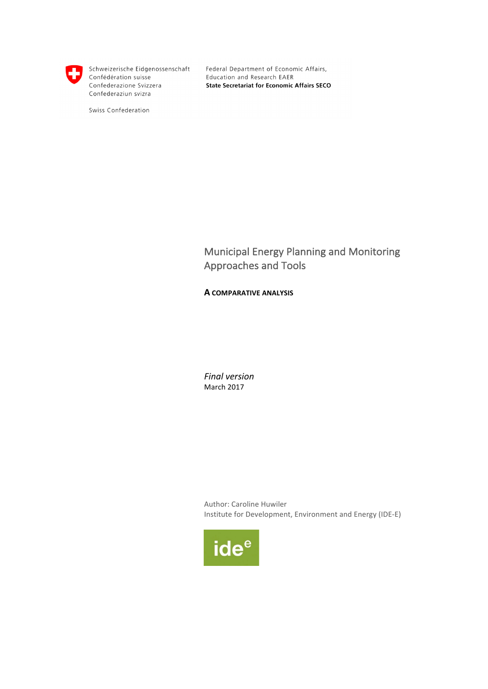

Schweizerische Eidgenossenschaft Confédération suisse Confederazione Svizzera Confederaziun svizra

Swiss Confederation

Federal Department of Economic Affairs, Education and Research EAER **State Secretariat for Economic Affairs SECO** 

Municipal Energy Planning and Monitoring Approaches and Tools

# **A COMPARATIVE ANALYSIS**

*Final version* March 2017

Author: Caroline Huwiler Institute for Development, Environment and Energy (IDE-E)

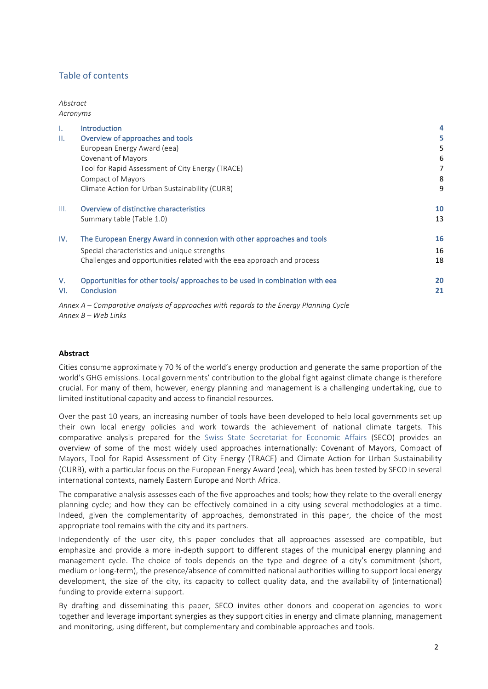# Table of contents

#### *Abstract Acronyms*

| Τ.   | <b>Introduction</b>                                                                    | 4  |
|------|----------------------------------------------------------------------------------------|----|
| Ш.   | Overview of approaches and tools                                                       | 5  |
|      | European Energy Award (eea)                                                            | 5  |
|      | <b>Covenant of Mayors</b>                                                              | 6  |
|      | Tool for Rapid Assessment of City Energy (TRACE)                                       | 7  |
|      | <b>Compact of Mayors</b>                                                               | 8  |
|      | Climate Action for Urban Sustainability (CURB)                                         | 9  |
| III. | Overview of distinctive characteristics                                                | 10 |
|      | Summary table (Table 1.0)                                                              | 13 |
| IV.  | The European Energy Award in connexion with other approaches and tools                 | 16 |
|      | Special characteristics and unique strengths                                           | 16 |
|      | Challenges and opportunities related with the eea approach and process                 | 18 |
| V.   | Opportunities for other tools/ approaches to be used in combination with eea           | 20 |
| VI.  | Conclusion                                                                             | 21 |
|      | Annex A – Comparative analysis of approaches with regards to the Energy Planning Cycle |    |

*Annex B – Web Links*

#### **Abstract**

Cities consume approximately 70 % of the world's energy production and generate the same proportion of the world's GHG emissions. Local governments' contribution to the global fight against climate change is therefore crucial. For many of them, however, energy planning and management is a challenging undertaking, due to limited institutional capacity and access to financial resources.

Over the past 10 years, an increasing number of tools have been developed to help local governments set up their own local energy policies and work towards the achievement of national climate targets. This comparative analysis prepared for the Swiss State Secretariat for Economic Affairs (SECO) provides an overview of some of the most widely used approaches internationally: Covenant of Mayors, Compact of Mayors, Tool for Rapid Assessment of City Energy (TRACE) and Climate Action for Urban Sustainability (CURB), with a particular focus on the European Energy Award (eea), which has been tested by SECO in several international contexts, namely Eastern Europe and North Africa.

The comparative analysis assesses each of the five approaches and tools; how they relate to the overall energy planning cycle; and how they can be effectively combined in a city using several methodologies at a time. Indeed, given the complementarity of approaches, demonstrated in this paper, the choice of the most appropriate tool remains with the city and its partners.

Independently of the user city, this paper concludes that all approaches assessed are compatible, but emphasize and provide a more in-depth support to different stages of the municipal energy planning and management cycle. The choice of tools depends on the type and degree of a city's commitment (short, medium or long-term), the presence/absence of committed national authorities willing to support local energy development, the size of the city, its capacity to collect quality data, and the availability of (international) funding to provide external support.

By drafting and disseminating this paper, SECO invites other donors and cooperation agencies to work together and leverage important synergies as they support cities in energy and climate planning, management and monitoring, using different, but complementary and combinable approaches and tools.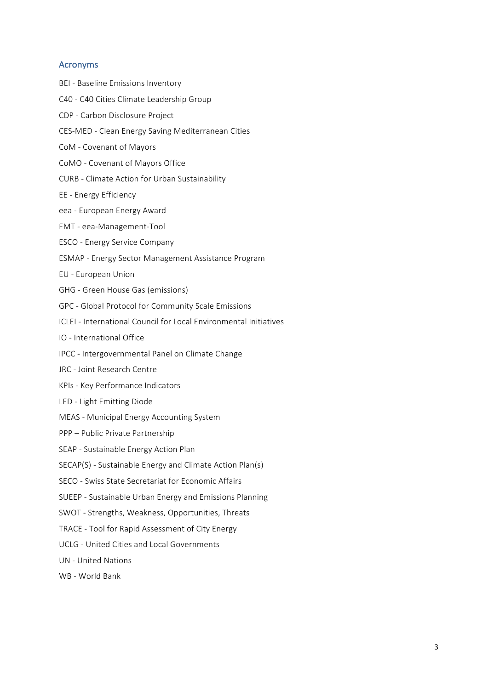#### Acronyms

- BEI Baseline Emissions Inventory
- C40 C40 Cities Climate Leadership Group
- CDP Carbon Disclosure Project
- CES-MED Clean Energy Saving Mediterranean Cities
- CoM Covenant of Mayors
- CoMO Covenant of Mayors Office
- CURB - Climate Action for Urban Sustainability
- EE Energy Efficiency
- eea European Energy Award
- EMT eea-Management-Tool
- ESCO Energy Service Company
- ESMAP Energy Sector Management Assistance Program
- EU - European Union
- GHG Green House Gas (emissions)
- GPC Global Protocol for Community Scale Emissions
- ICLEI International Council for Local Environmental Initiatives
- IO - International Office
- IPCC Intergovernmental Panel on Climate Change
- JRC Joint Research Centre
- KPIs Key Performance Indicators
- LED Light Emitting Diode
- MEAS Municipal Energy Accounting System
- PPP Public Private Partnership
- SEAP Sustainable Energy Action Plan
- SECAP(S) Sustainable Energy and Climate Action Plan(s)
- SECO Swiss State Secretariat for Economic Affairs
- SUEEP Sustainable Urban Energy and Emissions Planning
- SWOT Strengths, Weakness, Opportunities, Threats
- TRACE Tool for Rapid Assessment of City Energy
- UCLG United Cities and Local Governments
- UN - United Nations
- WB World Bank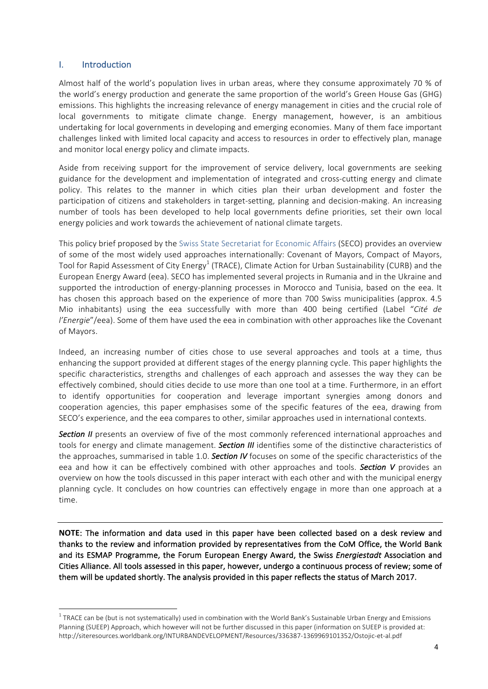# I. Introduction

Almost half of the world's population lives in urban areas, where they consume approximately 70 % of the world's energy production and generate the same proportion of the world's Green House Gas (GHG) emissions. This highlights the increasing relevance of energy management in cities and the crucial role of local governments to mitigate climate change. Energy management, however, is an ambitious undertaking for local governments in developing and emerging economies. Many of them face important challenges linked with limited local capacity and access to resources in order to effectively plan, manage and monitor local energy policy and climate impacts.

Aside from receiving support for the improvement of service delivery, local governments are seeking guidance for the development and implementation of integrated and cross-cutting energy and climate policy. This relates to the manner in which cities plan their urban development and foster the participation of citizens and stakeholders in target-setting, planning and decision-making. An increasing number of tools has been developed to help local governments define priorities, set their own local energy policies and work towards the achievement of national climate targets.

This policy brief proposed by the Swiss State Secretariat for Economic Affairs (SECO) provides an overview of some of the most widely used approaches internationally: Covenant of Mayors, Compact of Mayors, Tool for Rapid Assessment of City Energy<sup>1</sup> (TRACE), Climate Action for Urban Sustainability (CURB) and the European Energy Award (eea). SECO has implemented several projects in Rumania and in the Ukraine and supported the introduction of energy-planning processes in Morocco and Tunisia, based on the eea. It has chosen this approach based on the experience of more than 700 Swiss municipalities (approx. 4.5 Mio inhabitants) using the eea successfully with more than 400 being certified (Label "Cité de *l'Energie"*/eea). Some of them have used the eea in combination with other approaches like the Covenant of Mayors.

Indeed, an increasing number of cities chose to use several approaches and tools at a time, thus enhancing the support provided at different stages of the energy planning cycle. This paper highlights the specific characteristics, strengths and challenges of each approach and assesses the way they can be effectively combined, should cities decide to use more than one tool at a time. Furthermore, in an effort to identify opportunities for cooperation and leverage important synergies among donors and cooperation agencies, this paper emphasises some of the specific features of the eea, drawing from SECO's experience, and the eea compares to other, similar approaches used in international contexts.

**Section** II presents an overview of five of the most commonly referenced international approaches and tools for energy and climate management. **Section III** identifies some of the distinctive characteristics of the approaches, summarised in table 1.0. **Section IV** focuses on some of the specific characteristics of the eea and how it can be effectively combined with other approaches and tools. **Section V** provides an overview on how the tools discussed in this paper interact with each other and with the municipal energy planning cycle. It concludes on how countries can effectively engage in more than one approach at a time.

**NOTE:** The information and data used in this paper have been collected based on a desk review and thanks to the review and information provided by representatives from the CoM Office, the World Bank and its ESMAP Programme, the Forum European Energy Award, the Swiss *Energiestadt* Association and Cities Alliance. All tools assessed in this paper, however, undergo a continuous process of review; some of them will be updated shortly. The analysis provided in this paper reflects the status of March 2017.

 $1$  TRACE can be (but is not systematically) used in combination with the World Bank's Sustainable Urban Energy and Emissions Planning (SUEEP) Approach, which however will not be further discussed in this paper (information on SUEEP is provided at: http://siteresources.worldbank.org/INTURBANDEVELOPMENT/Resources/336387-1369969101352/Ostojic-et-al.pdf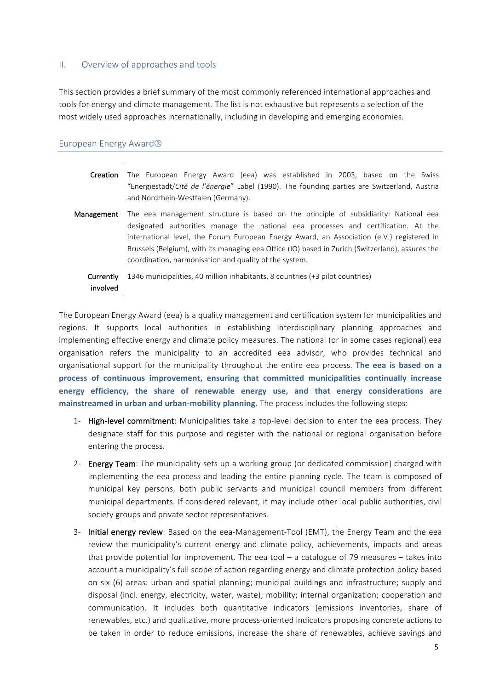# II. Overview of approaches and tools

This section provides a brief summary of the most commonly referenced international approaches and tools for energy and climate management. The list is not exhaustive but represents a selection of the most widely used approaches internationally, including in developing and emerging economies.

# European Energy Award<sup>®</sup>

| Creation              | The European Energy Award (eea) was established in 2003, based on the Swiss<br>"Energiestadt/Cité de l'énergie" Label (1990). The founding parties are Switzerland, Austria<br>and Nordrhein-Westfalen (Germany).                                                                                                                                                                                                                     |  |  |  |  |
|-----------------------|---------------------------------------------------------------------------------------------------------------------------------------------------------------------------------------------------------------------------------------------------------------------------------------------------------------------------------------------------------------------------------------------------------------------------------------|--|--|--|--|
| Management            | The eea management structure is based on the principle of subsidiarity: National eea<br>designated authorities manage the national eea processes and certification. At the<br>international level, the Forum European Energy Award, an Association (e.V.) registered in<br>Brussels (Belgium), with its managing eea Office (IO) based in Zurich (Switzerland), assures the<br>coordination, harmonisation and quality of the system. |  |  |  |  |
| Currently<br>involved | 1346 municipalities, 40 million inhabitants, 8 countries (+3 pilot countries)                                                                                                                                                                                                                                                                                                                                                         |  |  |  |  |

The European Energy Award (eea) is a quality management and certification system for municipalities and regions. It supports local authorities in establishing interdisciplinary planning approaches and implementing effective energy and climate policy measures. The national (or in some cases regional) eea organisation refers the municipality to an accredited eea advisor, who provides technical and organisational support for the municipality throughout the entire eea process. The eea is based on a **process of continuous improvement, ensuring that committed municipalities continually increase energy efficiency, the share of renewable energy use, and that energy considerations are mainstreamed in urban and urban-mobility planning.** The process includes the following steps:

- 1- High-level commitment: Municipalities take a top-level decision to enter the eea process. They designate staff for this purpose and register with the national or regional organisation before entering the process.
- 2- Energy Team: The municipality sets up a working group (or dedicated commission) charged with implementing the eea process and leading the entire planning cycle. The team is composed of municipal key persons, both public servants and municipal council members from different municipal departments. If considered relevant, it may include other local public authorities, civil society groups and private sector representatives.
- 3- Initial energy review: Based on the eea-Management-Tool (EMT), the Energy Team and the eea review the municipality's current energy and climate policy, achievements, impacts and areas that provide potential for improvement. The eea tool  $-$  a catalogue of 79 measures  $-$  takes into account a municipality's full scope of action regarding energy and climate protection policy based on six (6) areas: urban and spatial planning; municipal buildings and infrastructure; supply and disposal (incl. energy, electricity, water, waste); mobility; internal organization; cooperation and communication. It includes both quantitative indicators (emissions inventories, share of renewables, etc.) and qualitative, more process-oriented indicators proposing concrete actions to be taken in order to reduce emissions, increase the share of renewables, achieve savings and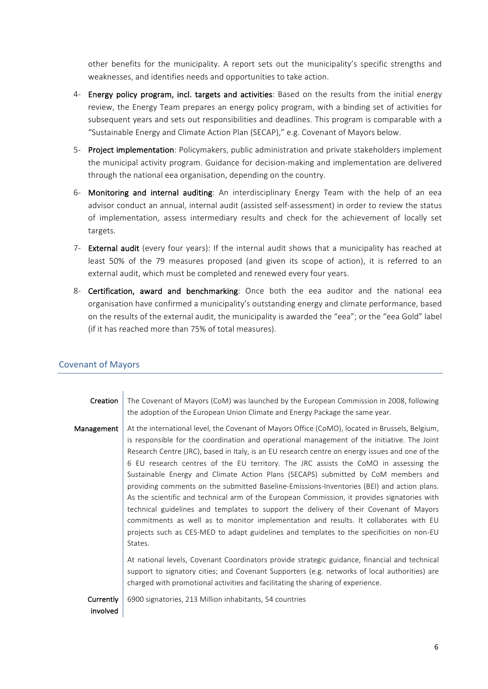other benefits for the municipality. A report sets out the municipality's specific strengths and weaknesses, and identifies needs and opportunities to take action.

- 4- Energy policy program, incl. targets and activities: Based on the results from the initial energy review, the Energy Team prepares an energy policy program, with a binding set of activities for subsequent years and sets out responsibilities and deadlines. This program is comparable with a "Sustainable Energy and Climate Action Plan (SECAP)," e.g. Covenant of Mayors below.
- 5- Project implementation: Policymakers, public administration and private stakeholders implement the municipal activity program. Guidance for decision-making and implementation are delivered through the national eea organisation, depending on the country.
- 6- Monitoring and internal auditing: An interdisciplinary Energy Team with the help of an eea advisor conduct an annual, internal audit (assisted self-assessment) in order to review the status of implementation, assess intermediary results and check for the achievement of locally set targets.
- 7- External audit (every four years): If the internal audit shows that a municipality has reached at least 50% of the 79 measures proposed (and given its scope of action), it is referred to an external audit, which must be completed and renewed every four years.
- 8- Certification, award and benchmarking: Once both the eea auditor and the national eea organisation have confirmed a municipality's outstanding energy and climate performance, based on the results of the external audit, the municipality is awarded the "eea"; or the "eea Gold" label (if it has reached more than 75% of total measures).

# Covenant of Mayors

| Creation              | The Covenant of Mayors (CoM) was launched by the European Commission in 2008, following<br>the adoption of the European Union Climate and Energy Package the same year.                                                                                                                                                                                                                                                                                                                                                                                                                                                                                                                                                                                                                                                                                                                                                                                                 |
|-----------------------|-------------------------------------------------------------------------------------------------------------------------------------------------------------------------------------------------------------------------------------------------------------------------------------------------------------------------------------------------------------------------------------------------------------------------------------------------------------------------------------------------------------------------------------------------------------------------------------------------------------------------------------------------------------------------------------------------------------------------------------------------------------------------------------------------------------------------------------------------------------------------------------------------------------------------------------------------------------------------|
| Management            | At the international level, the Covenant of Mayors Office (CoMO), located in Brussels, Belgium,<br>is responsible for the coordination and operational management of the initiative. The Joint<br>Research Centre (JRC), based in Italy, is an EU research centre on energy issues and one of the<br>6 EU research centres of the EU territory. The JRC assists the CoMO in assessing the<br>Sustainable Energy and Climate Action Plans (SECAPS) submitted by CoM members and<br>providing comments on the submitted Baseline-Emissions-Inventories (BEI) and action plans.<br>As the scientific and technical arm of the European Commission, it provides signatories with<br>technical guidelines and templates to support the delivery of their Covenant of Mayors<br>commitments as well as to monitor implementation and results. It collaborates with EU<br>projects such as CES-MED to adapt guidelines and templates to the specificities on non-EU<br>States. |
|                       | At national levels, Covenant Coordinators provide strategic guidance, financial and technical<br>support to signatory cities; and Covenant Supporters (e.g. networks of local authorities) are<br>charged with promotional activities and facilitating the sharing of experience.                                                                                                                                                                                                                                                                                                                                                                                                                                                                                                                                                                                                                                                                                       |
| Currently<br>involved | 6900 signatories, 213 Million inhabitants, 54 countries                                                                                                                                                                                                                                                                                                                                                                                                                                                                                                                                                                                                                                                                                                                                                                                                                                                                                                                 |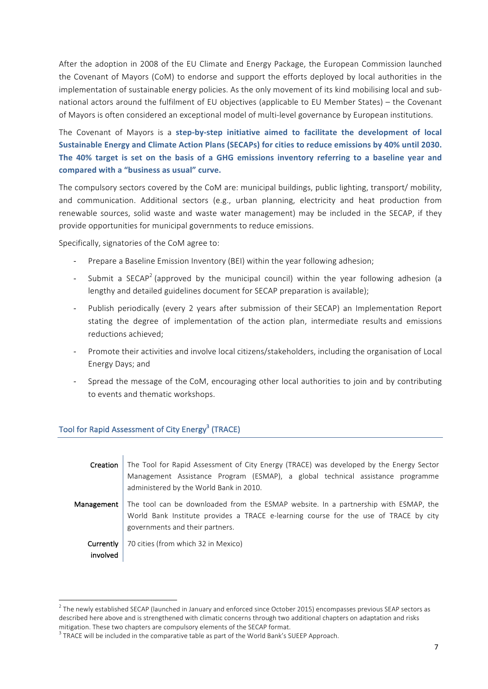After the adoption in 2008 of the EU Climate and Energy Package, the European Commission launched the Covenant of Mayors (CoM) to endorse and support the efforts deployed by local authorities in the implementation of sustainable energy policies. As the only movement of its kind mobilising local and subnational actors around the fulfilment of EU objectives (applicable to EU Member States) – the Covenant of Mayors is often considered an exceptional model of multi-level governance by European institutions.

The Covenant of Mayors is a step-by-step initiative aimed to facilitate the development of local Sustainable Energy and Climate Action Plans (SECAPs) for cities to reduce emissions by 40% until 2030. The 40% target is set on the basis of a GHG emissions inventory referring to a baseline year and compared with a "business as usual" curve.

The compulsory sectors covered by the CoM are: municipal buildings, public lighting, transport/ mobility, and communication. Additional sectors (e.g., urban planning, electricity and heat production from renewable sources, solid waste and waste water management) may be included in the SECAP, if they provide opportunities for municipal governments to reduce emissions.

Specifically, signatories of the CoM agree to:

- Prepare a Baseline Emission Inventory (BEI) within the year following adhesion;
- Submit a SECAP<sup>2</sup> (approved by the municipal council) within the year following adhesion (a lengthy and detailed guidelines document for SECAP preparation is available);
- Publish periodically (every 2 years after submission of their SECAP) an Implementation Report stating the degree of implementation of the action plan, intermediate results and emissions reductions achieved;
- Promote their activities and involve local citizens/stakeholders, including the organisation of Local Energy Days; and
- Spread the message of the CoM, encouraging other local authorities to join and by contributing to events and thematic workshops.

# Tool for Rapid Assessment of City Energy<sup>3</sup> (TRACE)

| Creation                                                                                                                                                                                                                     | The Tool for Rapid Assessment of City Energy (TRACE) was developed by the Energy Sector<br>Management Assistance Program (ESMAP), a global technical assistance programme<br>administered by the World Bank in 2010. |  |  |  |
|------------------------------------------------------------------------------------------------------------------------------------------------------------------------------------------------------------------------------|----------------------------------------------------------------------------------------------------------------------------------------------------------------------------------------------------------------------|--|--|--|
| The tool can be downloaded from the ESMAP website. In a partnership with ESMAP, the<br>Management<br>World Bank Institute provides a TRACE e-learning course for the use of TRACE by city<br>governments and their partners. |                                                                                                                                                                                                                      |  |  |  |
| Currently<br>involved                                                                                                                                                                                                        | 70 cities (from which 32 in Mexico)                                                                                                                                                                                  |  |  |  |

 $^2$  The newly established SECAP (launched in January and enforced since October 2015) encompasses previous SEAP sectors as described here above and is strengthened with climatic concerns through two additional chapters on adaptation and risks mitigation. These two chapters are compulsory elements of the SECAP format.

 $3$  TRACE will be included in the comparative table as part of the World Bank's SUEEP Approach.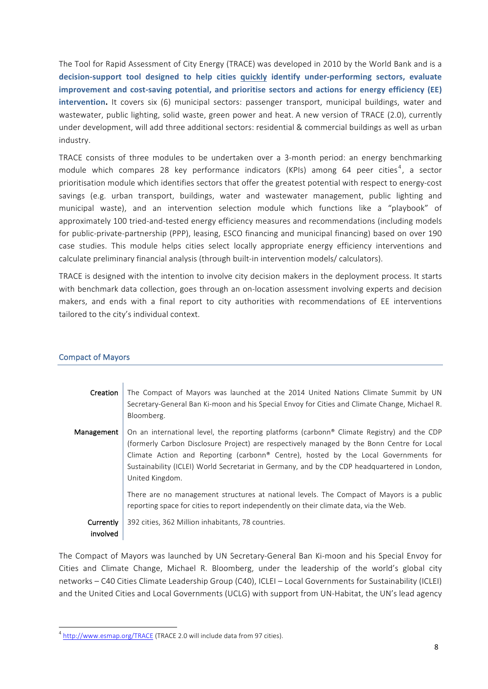The Tool for Rapid Assessment of City Energy (TRACE) was developed in 2010 by the World Bank and is a decision-support tool designed to help cities quickly identify under-performing sectors, evaluate **improvement and cost-saving potential, and prioritise sectors and actions for energy efficiency (EE) intervention.** It covers six (6) municipal sectors: passenger transport, municipal buildings, water and wastewater, public lighting, solid waste, green power and heat. A new version of TRACE (2.0), currently under development, will add three additional sectors: residential & commercial buildings as well as urban industry.

TRACE consists of three modules to be undertaken over a 3-month period: an energy benchmarking module which compares 28 key performance indicators (KPIs) among 64 peer cities<sup>4</sup>, a sector prioritisation module which identifies sectors that offer the greatest potential with respect to energy-cost savings (e.g. urban transport, buildings, water and wastewater management, public lighting and municipal waste), and an intervention selection module which functions like a "playbook" of approximately 100 tried-and-tested energy efficiency measures and recommendations (including models for public-private-partnership (PPP), leasing, ESCO financing and municipal financing) based on over 190 case studies. This module helps cities select locally appropriate energy efficiency interventions and calculate preliminary financial analysis (through built-in intervention models/ calculators).

TRACE is designed with the intention to involve city decision makers in the deployment process. It starts with benchmark data collection, goes through an on-location assessment involving experts and decision makers, and ends with a final report to city authorities with recommendations of EE interventions tailored to the city's individual context.

#### Compact of Mayors

| Creation              | The Compact of Mayors was launched at the 2014 United Nations Climate Summit by UN<br>Secretary-General Ban Ki-moon and his Special Envoy for Cities and Climate Change, Michael R.<br>Bloomberg.                                                                                                                                                                                                  |
|-----------------------|----------------------------------------------------------------------------------------------------------------------------------------------------------------------------------------------------------------------------------------------------------------------------------------------------------------------------------------------------------------------------------------------------|
| Management            | On an international level, the reporting platforms (carbonn® Climate Registry) and the CDP<br>(formerly Carbon Disclosure Project) are respectively managed by the Bonn Centre for Local<br>Climate Action and Reporting (carbonn® Centre), hosted by the Local Governments for<br>Sustainability (ICLEI) World Secretariat in Germany, and by the CDP headquartered in London,<br>United Kingdom. |
|                       | There are no management structures at national levels. The Compact of Mayors is a public<br>reporting space for cities to report independently on their climate data, via the Web.                                                                                                                                                                                                                 |
| Currently<br>involved | 392 cities, 362 Million inhabitants, 78 countries.                                                                                                                                                                                                                                                                                                                                                 |

The Compact of Mayors was launched by UN Secretary-General Ban Ki-moon and his Special Envoy for Cities and Climate Change, Michael R. Bloomberg, under the leadership of the world's global city networks – C40 Cities Climate Leadership Group (C40), ICLEI – Local Governments for Sustainability (ICLEI) and the United Cities and Local Governments (UCLG) with support from UN-Habitat, the UN's lead agency

 $4$  http://www.esmap.org/TRACE (TRACE 2.0 will include data from 97 cities).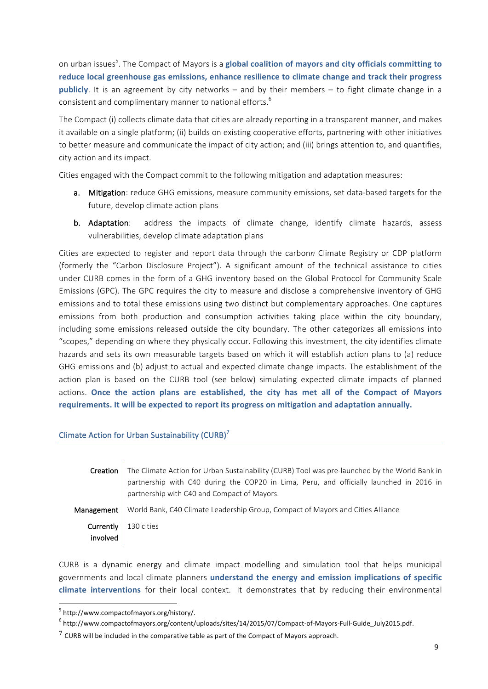on urban issues<sup>5</sup>. The Compact of Mayors is a **global coalition of mayors and city officials committing to** reduce local greenhouse gas emissions, enhance resilience to climate change and track their progress **publicly**. It is an agreement by city networks – and by their members – to fight climate change in a consistent and complimentary manner to national efforts.<sup>6</sup>

The Compact (i) collects climate data that cities are already reporting in a transparent manner, and makes it available on a single platform; (ii) builds on existing cooperative efforts, partnering with other initiatives to better measure and communicate the impact of city action; and (iii) brings attention to, and quantifies, city action and its impact.

Cities engaged with the Compact commit to the following mitigation and adaptation measures:

- a. Mitigation: reduce GHG emissions, measure community emissions, set data-based targets for the future, develop climate action plans
- b. Adaptation: address the impacts of climate change, identify climate hazards, assess vulnerabilities, develop climate adaptation plans

Cities are expected to register and report data through the carbonn Climate Registry or CDP platform (formerly the "Carbon Disclosure Project"). A significant amount of the technical assistance to cities under CURB comes in the form of a GHG inventory based on the Global Protocol for Community Scale Emissions (GPC). The GPC requires the city to measure and disclose a comprehensive inventory of GHG emissions and to total these emissions using two distinct but complementary approaches. One captures emissions from both production and consumption activities taking place within the city boundary, including some emissions released outside the city boundary. The other categorizes all emissions into "scopes," depending on where they physically occur. Following this investment, the city identifies climate hazards and sets its own measurable targets based on which it will establish action plans to (a) reduce GHG emissions and (b) adjust to actual and expected climate change impacts. The establishment of the action plan is based on the CURB tool (see below) simulating expected climate impacts of planned actions. Once the action plans are established, the city has met all of the Compact of Mayors requirements. It will be expected to report its progress on mitigation and adaptation annually.

# Climate Action for Urban Sustainability (CURB) $^7$

| Creation              | The Climate Action for Urban Sustainability (CURB) Tool was pre-launched by the World Bank in<br>partnership with C40 during the COP20 in Lima, Peru, and officially launched in 2016 in<br>partnership with C40 and Compact of Mayors. |
|-----------------------|-----------------------------------------------------------------------------------------------------------------------------------------------------------------------------------------------------------------------------------------|
| Management            | World Bank, C40 Climate Leadership Group, Compact of Mayors and Cities Alliance                                                                                                                                                         |
| Currently<br>involved | 130 cities                                                                                                                                                                                                                              |

CURB is a dynamic energy and climate impact modelling and simulation tool that helps municipal governments and local climate planners *understand* the energy and emission implications of specific **climate interventions** for their local context. It demonstrates that by reducing their environmental

 <sup>5</sup> http://www.compactofmayors.org/history/. 

 $^6$  http://www.compactofmayors.org/content/uploads/sites/14/2015/07/Compact-of-Mayors-Full-Guide\_July2015.pdf.

 $7$  CURB will be included in the comparative table as part of the Compact of Mayors approach.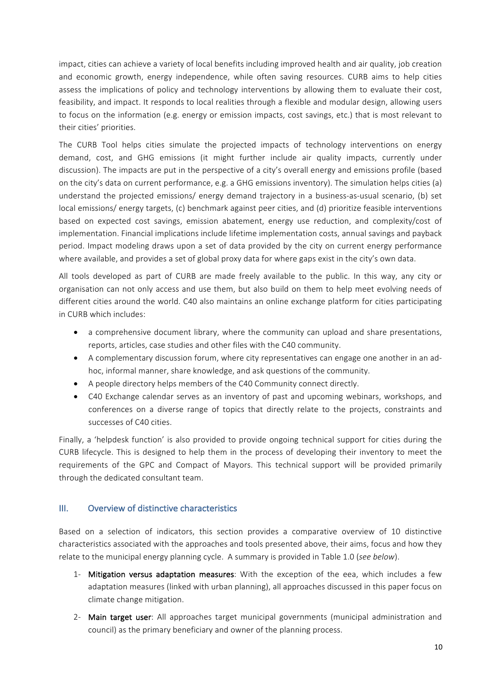impact, cities can achieve a variety of local benefits including improved health and air quality, job creation and economic growth, energy independence, while often saving resources. CURB aims to help cities assess the implications of policy and technology interventions by allowing them to evaluate their cost, feasibility, and impact. It responds to local realities through a flexible and modular design, allowing users to focus on the information (e.g. energy or emission impacts, cost savings, etc.) that is most relevant to their cities' priorities.

The CURB Tool helps cities simulate the projected impacts of technology interventions on energy demand, cost, and GHG emissions (it might further include air quality impacts, currently under discussion). The impacts are put in the perspective of a city's overall energy and emissions profile (based on the city's data on current performance, e.g. a GHG emissions inventory). The simulation helps cities (a) understand the projected emissions/ energy demand trajectory in a business-as-usual scenario, (b) set local emissions/ energy targets, (c) benchmark against peer cities, and (d) prioritize feasible interventions based on expected cost savings, emission abatement, energy use reduction, and complexity/cost of implementation. Financial implications include lifetime implementation costs, annual savings and payback period. Impact modeling draws upon a set of data provided by the city on current energy performance where available, and provides a set of global proxy data for where gaps exist in the city's own data.

All tools developed as part of CURB are made freely available to the public. In this way, any city or organisation can not only access and use them, but also build on them to help meet evolving needs of different cities around the world. C40 also maintains an online exchange platform for cities participating in CURB which includes:

- a comprehensive document library, where the community can upload and share presentations, reports, articles, case studies and other files with the C40 community.
- A complementary discussion forum, where city representatives can engage one another in an adhoc, informal manner, share knowledge, and ask questions of the community.
- A people directory helps members of the C40 Community connect directly.
- C40 Exchange calendar serves as an inventory of past and upcoming webinars, workshops, and conferences on a diverse range of topics that directly relate to the projects, constraints and successes of C40 cities.

Finally, a 'helpdesk function' is also provided to provide ongoing technical support for cities during the CURB lifecycle. This is designed to help them in the process of developing their inventory to meet the requirements of the GPC and Compact of Mayors. This technical support will be provided primarily through the dedicated consultant team.

# III. Overview of distinctive characteristics

Based on a selection of indicators, this section provides a comparative overview of 10 distinctive characteristics associated with the approaches and tools presented above, their aims, focus and how they relate to the municipal energy planning cycle. A summary is provided in Table 1.0 (*see below*).

- 1- Mitigation versus adaptation measures: With the exception of the eea, which includes a few adaptation measures (linked with urban planning), all approaches discussed in this paper focus on climate change mitigation.
- 2- Main target user: All approaches target municipal governments (municipal administration and council) as the primary beneficiary and owner of the planning process.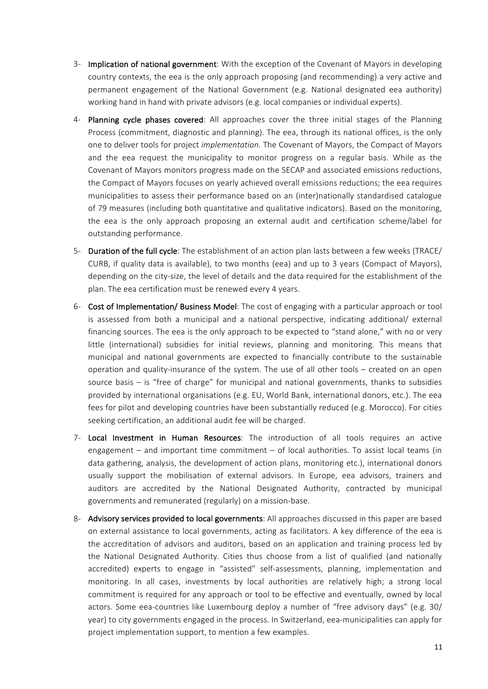- 3- Implication of national government: With the exception of the Covenant of Mayors in developing country contexts, the eea is the only approach proposing (and recommending) a very active and permanent engagement of the National Government (e.g. National designated eea authority) working hand in hand with private advisors (e.g. local companies or individual experts).
- 4- Planning cycle phases covered: All approaches cover the three initial stages of the Planning Process (commitment, diagnostic and planning). The eea, through its national offices, is the only one to deliver tools for project *implementation*. The Covenant of Mayors, the Compact of Mayors and the eea request the municipality to monitor progress on a regular basis. While as the Covenant of Mayors monitors progress made on the SECAP and associated emissions reductions, the Compact of Mayors focuses on yearly achieved overall emissions reductions; the eea requires municipalities to assess their performance based on an (inter)nationally standardised catalogue of 79 measures (including both quantitative and qualitative indicators). Based on the monitoring, the eea is the only approach proposing an external audit and certification scheme/label for outstanding performance.
- 5- Duration of the full cycle: The establishment of an action plan lasts between a few weeks (TRACE/ CURB, if quality data is available), to two months (eea) and up to 3 years (Compact of Mayors), depending on the city-size, the level of details and the data required for the establishment of the plan. The eea certification must be renewed every 4 years.
- 6- Cost of Implementation/ Business Model: The cost of engaging with a particular approach or tool is assessed from both a municipal and a national perspective, indicating additional/ external financing sources. The eea is the only approach to be expected to "stand alone," with no or very little (international) subsidies for initial reviews, planning and monitoring. This means that municipal and national governments are expected to financially contribute to the sustainable operation and quality-insurance of the system. The use of all other tools – created on an open source basis  $-$  is "free of charge" for municipal and national governments, thanks to subsidies provided by international organisations (e.g. EU, World Bank, international donors, etc.). The eea fees for pilot and developing countries have been substantially reduced (e.g. Morocco). For cities seeking certification, an additional audit fee will be charged.
- 7- Local Investment in Human Resources: The introduction of all tools requires an active engagement – and important time commitment – of local authorities. To assist local teams (in data gathering, analysis, the development of action plans, monitoring etc.), international donors usually support the mobilisation of external advisors. In Europe, eea advisors, trainers and auditors are accredited by the National Designated Authority, contracted by municipal governments and remunerated (regularly) on a mission-base.
- 8- Advisory services provided to local governments: All approaches discussed in this paper are based on external assistance to local governments, acting as facilitators. A key difference of the eea is the accreditation of advisors and auditors, based on an application and training process led by the National Designated Authority. Cities thus choose from a list of qualified (and nationally accredited) experts to engage in "assisted" self-assessments, planning, implementation and monitoring. In all cases, investments by local authorities are relatively high; a strong local commitment is required for any approach or tool to be effective and eventually, owned by local actors. Some eea-countries like Luxembourg deploy a number of "free advisory days" (e.g. 30/ year) to city governments engaged in the process. In Switzerland, eea-municipalities can apply for project implementation support, to mention a few examples.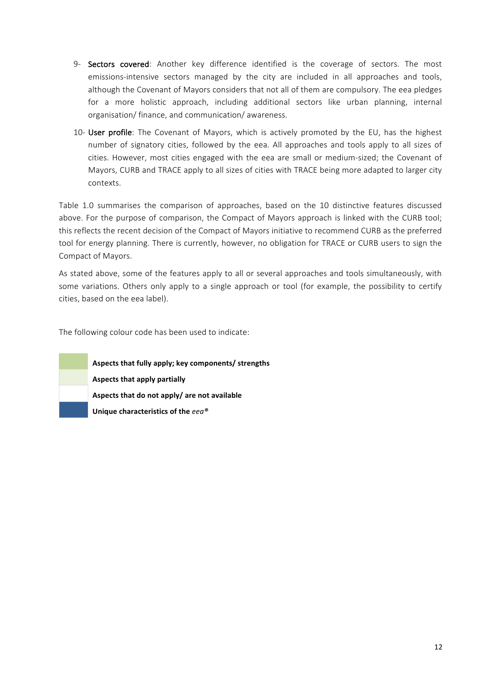- 9- Sectors covered: Another key difference identified is the coverage of sectors. The most emissions-intensive sectors managed by the city are included in all approaches and tools, although the Covenant of Mayors considers that not all of them are compulsory. The eea pledges for a more holistic approach, including additional sectors like urban planning, internal organisation/ finance, and communication/ awareness.
- 10- User profile: The Covenant of Mayors, which is actively promoted by the EU, has the highest number of signatory cities, followed by the eea. All approaches and tools apply to all sizes of cities. However, most cities engaged with the eea are small or medium-sized; the Covenant of Mayors, CURB and TRACE apply to all sizes of cities with TRACE being more adapted to larger city contexts.

Table 1.0 summarises the comparison of approaches, based on the 10 distinctive features discussed above. For the purpose of comparison, the Compact of Mayors approach is linked with the CURB tool; this reflects the recent decision of the Compact of Mayors initiative to recommend CURB as the preferred tool for energy planning. There is currently, however, no obligation for TRACE or CURB users to sign the Compact of Mayors.

As stated above, some of the features apply to all or several approaches and tools simultaneously, with some variations. Others only apply to a single approach or tool (for example, the possibility to certify cities, based on the eea label).

The following colour code has been used to indicate:

**Aspects that fully apply; key components/ strengths Aspects that apply partially** Aspects that do not apply/ are not available Unique characteristics of the  $e e a^{\circledast}$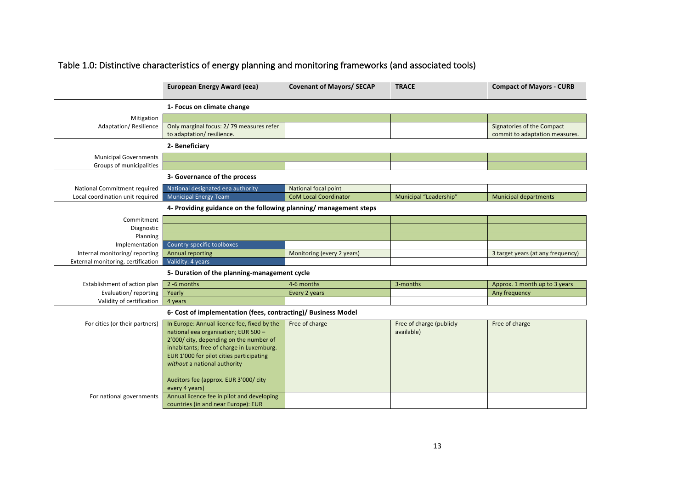|                                    | <b>European Energy Award (eea)</b>                                | <b>Covenant of Mayors/ SECAP</b> | <b>TRACE</b>             | <b>Compact of Mayors - CURB</b>   |
|------------------------------------|-------------------------------------------------------------------|----------------------------------|--------------------------|-----------------------------------|
|                                    | 1- Focus on climate change                                        |                                  |                          |                                   |
| Mitigation                         |                                                                   |                                  |                          |                                   |
| <b>Adaptation/ Resilience</b>      | Only marginal focus: 2/79 measures refer                          |                                  |                          | Signatories of the Compact        |
|                                    | to adaptation/resilience.                                         |                                  |                          | commit to adaptation measures.    |
|                                    | 2- Beneficiary                                                    |                                  |                          |                                   |
| <b>Municipal Governments</b>       |                                                                   |                                  |                          |                                   |
| Groups of municipalities           |                                                                   |                                  |                          |                                   |
|                                    | 3- Governance of the process                                      |                                  |                          |                                   |
| National Commitment required       | National designated eea authority                                 | National focal point             |                          |                                   |
| Local coordination unit required   | <b>Municipal Energy Team</b>                                      | <b>CoM Local Coordinator</b>     | Municipal "Leadership"   | <b>Municipal departments</b>      |
|                                    | 4- Providing guidance on the following planning/ management steps |                                  |                          |                                   |
| Commitment                         |                                                                   |                                  |                          |                                   |
| Diagnostic                         |                                                                   |                                  |                          |                                   |
| Planning                           |                                                                   |                                  |                          |                                   |
| Implementation                     | Country-specific toolboxes                                        |                                  |                          |                                   |
| Internal monitoring/reporting      | <b>Annual reporting</b>                                           | Monitoring (every 2 years)       |                          | 3 target years (at any frequency) |
| External monitoring, certification | Validity: 4 years                                                 |                                  |                          |                                   |
|                                    | 5- Duration of the planning-management cycle                      |                                  |                          |                                   |
| Establishment of action plan       | 2-6 months                                                        | 4-6 months                       | 3-months                 | Approx. 1 month up to 3 years     |
| Evaluation/reporting               | Yearly                                                            | Every 2 years                    |                          | Any frequency                     |
| Validity of certification          | 4 years                                                           |                                  |                          |                                   |
|                                    | 6- Cost of implementation (fees, contracting)/ Business Model     |                                  |                          |                                   |
| For cities (or their partners)     | In Europe: Annual licence fee, fixed by the                       | Free of charge                   | Free of charge (publicly | Free of charge                    |
|                                    | national eea organisation; EUR 500 -                              |                                  | available)               |                                   |
|                                    | 2'000/ city, depending on the number of                           |                                  |                          |                                   |
|                                    | inhabitants; free of charge in Luxemburg.                         |                                  |                          |                                   |
|                                    | EUR 1'000 for pilot cities participating                          |                                  |                          |                                   |
|                                    | without a national authority                                      |                                  |                          |                                   |
|                                    | Auditors fee (approx. EUR 3'000/ city                             |                                  |                          |                                   |
|                                    | every 4 years)                                                    |                                  |                          |                                   |
| For national governments           | Annual licence fee in pilot and developing                        |                                  |                          |                                   |
|                                    | countries (in and near Europe): EUR                               |                                  |                          |                                   |
|                                    |                                                                   |                                  |                          |                                   |

# Table 1.0: Distinctive characteristics of energy planning and monitoring frameworks (and associated tools)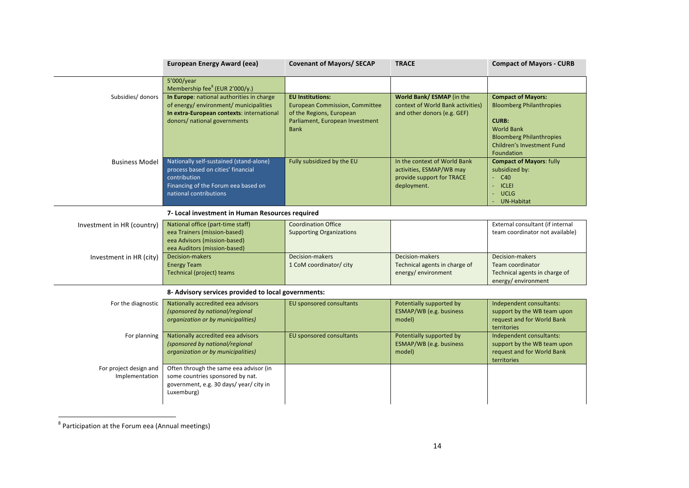|                                          | <b>European Energy Award (eea)</b>                                                                                                                             | <b>Covenant of Mayors/ SECAP</b>                                                                                                               | <b>TRACE</b>                                                                                         | <b>Compact of Mayors - CURB</b>                                                                                                                                                         |
|------------------------------------------|----------------------------------------------------------------------------------------------------------------------------------------------------------------|------------------------------------------------------------------------------------------------------------------------------------------------|------------------------------------------------------------------------------------------------------|-----------------------------------------------------------------------------------------------------------------------------------------------------------------------------------------|
|                                          | 5'000/year<br>Membership fee <sup>8</sup> (EUR 2'000/y.)                                                                                                       |                                                                                                                                                |                                                                                                      |                                                                                                                                                                                         |
| Subsidies/ donors                        | In Europe: national authorities in charge<br>of energy/environment/municipalities<br>In extra-European contexts: international<br>donors/ national governments | <b>EU Institutions:</b><br><b>European Commission, Committee</b><br>of the Regions, European<br>Parliament, European Investment<br><b>Bank</b> | World Bank/ ESMAP (in the<br>context of World Bank activities)<br>and other donors (e.g. GEF)        | <b>Compact of Mayors:</b><br><b>Bloomberg Philanthropies</b><br><b>CURB:</b><br><b>World Bank</b><br><b>Bloomberg Philanthropies</b><br><b>Children's Investment Fund</b><br>Foundation |
| <b>Business Model</b>                    | Nationally self-sustained (stand-alone)<br>process based on cities' financial<br>contribution<br>Financing of the Forum eea based on<br>national contributions | Fully subsidized by the EU                                                                                                                     | In the context of World Bank<br>activities, ESMAP/WB may<br>provide support for TRACE<br>deployment. | <b>Compact of Mayors: fully</b><br>subsidized by:<br>$-C40$<br>- ICLEI<br>- UCLG<br><b>UN-Habitat</b>                                                                                   |
|                                          | 7- Local investment in Human Resources required                                                                                                                |                                                                                                                                                |                                                                                                      |                                                                                                                                                                                         |
| Investment in HR (country)               | National office (part-time staff)<br>eea Trainers (mission-based)<br>eea Advisors (mission-based)<br>eea Auditors (mission-based)                              | <b>Coordination Office</b><br><b>Supporting Organizations</b>                                                                                  |                                                                                                      | External consultant (if internal<br>team coordinator not available)                                                                                                                     |
| Investment in HR (city)                  | Decision-makers<br><b>Energy Team</b><br>Technical (project) teams                                                                                             | Decision-makers<br>1 CoM coordinator/ city                                                                                                     | Decision-makers<br>Technical agents in charge of<br>energy/environment                               | Decision-makers<br><b>Team coordinator</b><br>Technical agents in charge of<br>energy/environment                                                                                       |
|                                          | 8- Advisory services provided to local governments:                                                                                                            |                                                                                                                                                |                                                                                                      |                                                                                                                                                                                         |
| For the diagnostic                       | Nationally accredited eea advisors<br>(sponsored by national/regional<br>organization or by municipalities)                                                    | EU sponsored consultants                                                                                                                       | Potentially supported by<br>ESMAP/WB (e.g. business<br>model)                                        | Independent consultants:<br>support by the WB team upon<br>request and for World Bank<br>territories                                                                                    |
| For planning                             | Nationally accredited eea advisors<br>(sponsored by national/regional<br>organization or by municipalities)                                                    | EU sponsored consultants                                                                                                                       | Potentially supported by<br>ESMAP/WB (e.g. business<br>model)                                        | Independent consultants:<br>support by the WB team upon<br>request and for World Bank<br>territories                                                                                    |
| For project design and<br>Implementation | Often through the same eea advisor (in<br>some countries sponsored by nat.<br>government, e.g. 30 days/year/city in<br>Luxemburg)                              |                                                                                                                                                |                                                                                                      |                                                                                                                                                                                         |

 $8$  Participation at the Forum eea (Annual meetings)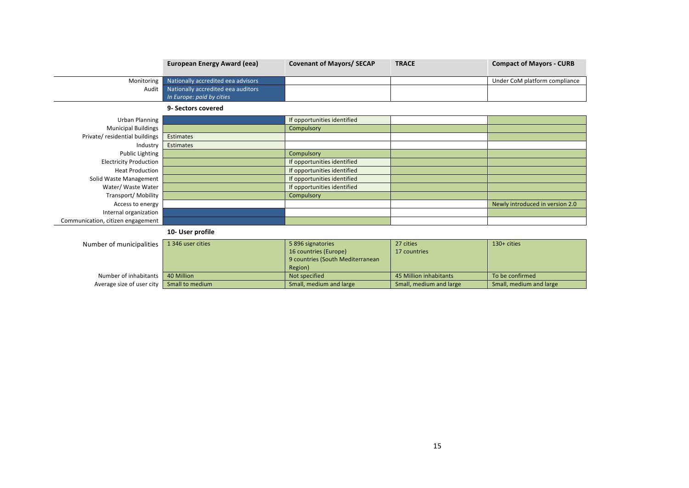|                                   | <b>European Energy Award (eea)</b>                              | <b>Covenant of Mayors/ SECAP</b>                                                          | <b>TRACE</b>              | <b>Compact of Mayors - CURB</b> |
|-----------------------------------|-----------------------------------------------------------------|-------------------------------------------------------------------------------------------|---------------------------|---------------------------------|
| Monitoring                        | Nationally accredited eea advisors                              |                                                                                           |                           | Under CoM platform compliance   |
| Audit                             | Nationally accredited eea auditors<br>In Europe: paid by cities |                                                                                           |                           |                                 |
|                                   | 9- Sectors covered                                              |                                                                                           |                           |                                 |
| <b>Urban Planning</b>             |                                                                 | If opportunities identified                                                               |                           |                                 |
| <b>Municipal Buildings</b>        |                                                                 | Compulsory                                                                                |                           |                                 |
| Private/ residential buildings    | <b>Estimates</b>                                                |                                                                                           |                           |                                 |
| Industry                          | Estimates                                                       |                                                                                           |                           |                                 |
| Public Lighting                   |                                                                 | Compulsory                                                                                |                           |                                 |
| <b>Electricity Production</b>     |                                                                 | If opportunities identified                                                               |                           |                                 |
| <b>Heat Production</b>            |                                                                 | If opportunities identified                                                               |                           |                                 |
| Solid Waste Management            |                                                                 | If opportunities identified                                                               |                           |                                 |
| Water/ Waste Water                |                                                                 | If opportunities identified                                                               |                           |                                 |
| Transport/Mobility                |                                                                 | Compulsory                                                                                |                           |                                 |
| Access to energy                  |                                                                 |                                                                                           |                           | Newly introduced in version 2.0 |
| Internal organization             |                                                                 |                                                                                           |                           |                                 |
| Communication, citizen engagement |                                                                 |                                                                                           |                           |                                 |
|                                   | 10- User profile                                                |                                                                                           |                           |                                 |
| Number of municipalities          | 1 346 user cities                                               | 5 896 signatories<br>16 countries (Europe)<br>9 countries (South Mediterranean<br>Region) | 27 cities<br>17 countries | 130+ cities                     |
| Number of inhabitants             | 40 Million                                                      | Not specified                                                                             | 45 Million inhabitants    | To be confirmed                 |

Number of inhabitants 10 Million 10 Million 2012 10 Mot specified 15 Million inhabitants To be confirmed 15 Million inhabitants To be confirmed 15 Million inhabitants To be confirmed 1998 10 Million inhabitants To be confi

Average size of user city **Small to medium**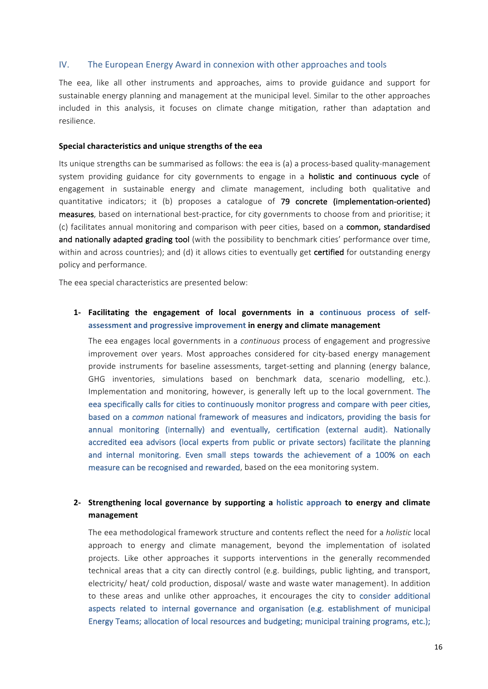## IV. The European Energy Award in connexion with other approaches and tools

The eea, like all other instruments and approaches, aims to provide guidance and support for sustainable energy planning and management at the municipal level. Similar to the other approaches included in this analysis, it focuses on climate change mitigation, rather than adaptation and resilience. 

#### **Special characteristics and unique strengths of the eea**

Its unique strengths can be summarised as follows: the eea is (a) a process-based quality-management system providing guidance for city governments to engage in a **holistic and continuous cycle** of engagement in sustainable energy and climate management, including both qualitative and quantitative indicators; it (b) proposes a catalogue of 79 concrete (implementation-oriented) measures, based on international best-practice, for city governments to choose from and prioritise; it (c) facilitates annual monitoring and comparison with peer cities, based on a common, standardised and nationally adapted grading tool (with the possibility to benchmark cities' performance over time, within and across countries); and (d) it allows cities to eventually get **certified** for outstanding energy policy and performance.

The eea special characteristics are presented below:

# 1- Facilitating the engagement of local governments in a continuous process of self**assessment and progressive improvement in energy and climate management**

The eea engages local governments in a *continuous* process of engagement and progressive improvement over years. Most approaches considered for city-based energy management provide instruments for baseline assessments, target-setting and planning (energy balance, GHG inventories, simulations based on benchmark data, scenario modelling, etc.). Implementation and monitoring, however, is generally left up to the local government. The eea specifically calls for cities to continuously monitor progress and compare with peer cities, based on a *common* national framework of measures and indicators, providing the basis for annual monitoring (internally) and eventually, certification (external audit). Nationally accredited eea advisors (local experts from public or private sectors) facilitate the planning and internal monitoring. Even small steps towards the achievement of a 100% on each measure can be recognised and rewarded, based on the eea monitoring system.

## **2- Strengthening local governance by supporting a holistic approach to energy and climate management**

The eea methodological framework structure and contents reflect the need for a *holistic* local approach to energy and climate management, beyond the implementation of isolated projects. Like other approaches it supports interventions in the generally recommended technical areas that a city can directly control (e.g. buildings, public lighting, and transport, electricity/ heat/ cold production, disposal/ waste and waste water management). In addition to these areas and unlike other approaches, it encourages the city to consider additional aspects related to internal governance and organisation (e.g. establishment of municipal Energy Teams; allocation of local resources and budgeting; municipal training programs, etc.);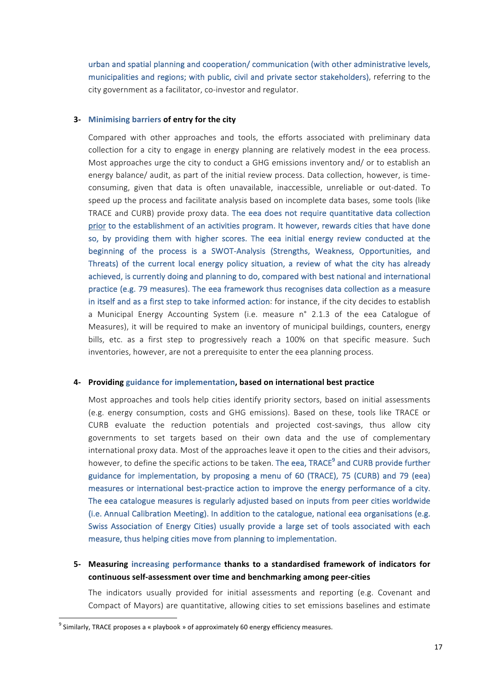urban and spatial planning and cooperation/ communication (with other administrative levels, municipalities and regions; with public, civil and private sector stakeholders), referring to the city government as a facilitator, co-investor and regulator.

#### **3- Minimising barriers of entry for the city**

Compared with other approaches and tools, the efforts associated with preliminary data collection for a city to engage in energy planning are relatively modest in the eea process. Most approaches urge the city to conduct a GHG emissions inventory and/ or to establish an energy balance/ audit, as part of the initial review process. Data collection, however, is timeconsuming, given that data is often unavailable, inaccessible, unreliable or out-dated. To speed up the process and facilitate analysis based on incomplete data bases, some tools (like TRACE and CURB) provide proxy data. The eea does not require quantitative data collection prior to the establishment of an activities program. It however, rewards cities that have done so, by providing them with higher scores. The eea initial energy review conducted at the beginning of the process is a SWOT-Analysis (Strengths, Weakness, Opportunities, and Threats) of the current local energy policy situation, a review of what the city has already achieved, is currently doing and planning to do, compared with best national and international practice (e.g. 79 measures). The eea framework thus recognises data collection as a measure in itself and as a first step to take informed action: for instance, if the city decides to establish a Municipal Energy Accounting System (i.e. measure n° 2.1.3 of the eea Catalogue of Measures), it will be required to make an inventory of municipal buildings, counters, energy bills, etc. as a first step to progressively reach a 100% on that specific measure. Such inventories, however, are not a prerequisite to enter the eea planning process.

#### 4- Providing guidance for implementation, based on international best practice

Most approaches and tools help cities identify priority sectors, based on initial assessments (e.g. energy consumption, costs and GHG emissions). Based on these, tools like TRACE or CURB evaluate the reduction potentials and projected cost-savings, thus allow city governments to set targets based on their own data and the use of complementary international proxy data. Most of the approaches leave it open to the cities and their advisors, however, to define the specific actions to be taken. The eea, TRACE<sup>9</sup> and CURB provide further guidance for implementation, by proposing a menu of 60 (TRACE), 75 (CURB) and 79 (eea) measures or international best-practice action to improve the energy performance of a city. The eea catalogue measures is regularly adjusted based on inputs from peer cities worldwide (i.e. Annual Calibration Meeting). In addition to the catalogue, national eea organisations (e.g. Swiss Association of Energy Cities) usually provide a large set of tools associated with each measure, thus helping cities move from planning to implementation.

# **5-** Measuring increasing performance thanks to a standardised framework of indicators for **continuous self-assessment over time and benchmarking among peer-cities**

The indicators usually provided for initial assessments and reporting (e.g. Covenant and Compact of Mayors) are quantitative, allowing cities to set emissions baselines and estimate

 $9$  Similarly, TRACE proposes a « playbook » of approximately 60 energy efficiency measures.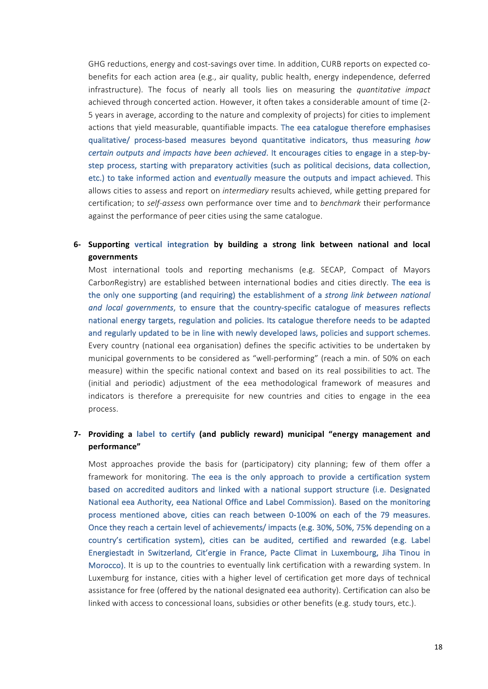GHG reductions, energy and cost-savings over time. In addition, CURB reports on expected cobenefits for each action area (e.g., air quality, public health, energy independence, deferred infrastructure). The focus of nearly all tools lies on measuring the *quantitative impact* achieved through concerted action. However, it often takes a considerable amount of time (2-5 years in average, according to the nature and complexity of projects) for cities to implement actions that yield measurable, quantifiable impacts. The eea catalogue therefore emphasises qualitative/ process-based measures beyond quantitative indicators, thus measuring how *certain outputs and impacts have been achieved.* It encourages cities to engage in a step-bystep process, starting with preparatory activities (such as political decisions, data collection, etc.) to take informed action and *eventually* measure the outputs and impact achieved. This allows cities to assess and report on *intermediary* results achieved, while getting prepared for certification; to *self-assess* own performance over time and to *benchmark* their performance against the performance of peer cities using the same catalogue.

**6- Supporting vertical integration by building a strong link between national and local governments**

Most international tools and reporting mechanisms (e.g. SECAP, Compact of Mayors CarbonRegistry) are established between international bodies and cities directly. The eea is the only one supporting (and requiring) the establishment of a *strong link between national* and local governments, to ensure that the country-specific catalogue of measures reflects national energy targets, regulation and policies. Its catalogue therefore needs to be adapted and regularly updated to be in line with newly developed laws, policies and support schemes. Every country (national eea organisation) defines the specific activities to be undertaken by municipal governments to be considered as "well-performing" (reach a min. of 50% on each measure) within the specific national context and based on its real possibilities to act. The (initial and periodic) adjustment of the eea methodological framework of measures and indicators is therefore a prerequisite for new countries and cities to engage in the eea process.

# **7- Providing** a label to certify (and publicly reward) municipal "energy management and **performance"**

Most approaches provide the basis for (participatory) city planning; few of them offer a framework for monitoring. The eea is the only approach to provide a certification system based on accredited auditors and linked with a national support structure (i.e. Designated National eea Authority, eea National Office and Label Commission). Based on the monitoring process mentioned above, cities can reach between 0-100% on each of the 79 measures. Once they reach a certain level of achievements/ impacts (e.g. 30%, 50%, 75% depending on a country's certification system), cities can be audited, certified and rewarded (e.g. Label Energiestadt in Switzerland, Cit'ergie in France, Pacte Climat in Luxembourg, Jiha Tinou in Morocco). It is up to the countries to eventually link certification with a rewarding system. In Luxemburg for instance, cities with a higher level of certification get more days of technical assistance for free (offered by the national designated eea authority). Certification can also be linked with access to concessional loans, subsidies or other benefits (e.g. study tours, etc.).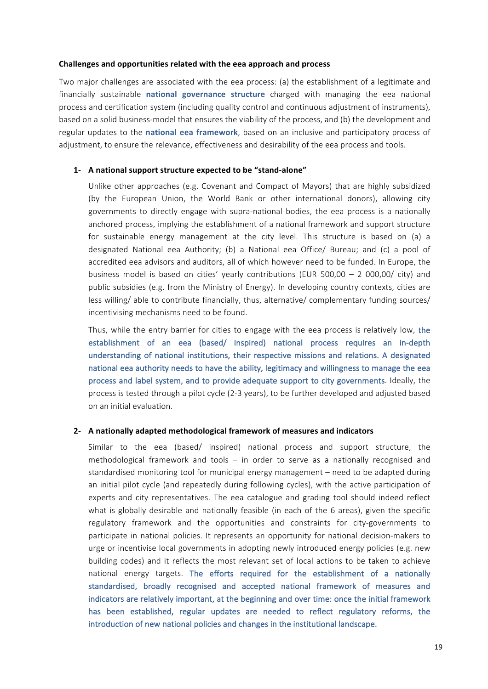#### Challenges and opportunities related with the eea approach and process

Two major challenges are associated with the eea process: (a) the establishment of a legitimate and financially sustainable **national governance structure** charged with managing the eea national process and certification system (including quality control and continuous adjustment of instruments), based on a solid business-model that ensures the viability of the process, and (b) the development and regular updates to the national eea framework, based on an inclusive and participatory process of adjustment, to ensure the relevance, effectiveness and desirability of the eea process and tools.

#### **1- A national support structure expected to be "stand-alone"**

Unlike other approaches (e.g. Covenant and Compact of Mayors) that are highly subsidized (by the European Union, the World Bank or other international donors), allowing city governments to directly engage with supra-national bodies, the eea process is a nationally anchored process, implying the establishment of a national framework and support structure for sustainable energy management at the city level. This structure is based on (a) a designated National eea Authority; (b) a National eea Office/ Bureau; and (c) a pool of accredited eea advisors and auditors, all of which however need to be funded. In Europe, the business model is based on cities' yearly contributions (EUR 500,00 – 2 000,00/ city) and public subsidies (e.g. from the Ministry of Energy). In developing country contexts, cities are less willing/ able to contribute financially, thus, alternative/ complementary funding sources/ incentivising mechanisms need to be found.

Thus, while the entry barrier for cities to engage with the eea process is relatively low, the establishment of an eea (based/ inspired) national process requires an in-depth understanding of national institutions, their respective missions and relations. A designated national eea authority needs to have the ability, legitimacy and willingness to manage the eea process and label system, and to provide adequate support to city governments. Ideally, the process is tested through a pilot cycle (2-3 years), to be further developed and adjusted based on an initial evaluation.

#### **2- A nationally adapted methodological framework of measures and indicators**

Similar to the eea (based/ inspired) national process and support structure, the methodological framework and tools  $-$  in order to serve as a nationally recognised and standardised monitoring tool for municipal energy management – need to be adapted during an initial pilot cycle (and repeatedly during following cycles), with the active participation of experts and city representatives. The eea catalogue and grading tool should indeed reflect what is globally desirable and nationally feasible (in each of the 6 areas), given the specific regulatory framework and the opportunities and constraints for city-governments to participate in national policies. It represents an opportunity for national decision-makers to urge or incentivise local governments in adopting newly introduced energy policies (e.g. new building codes) and it reflects the most relevant set of local actions to be taken to achieve national energy targets. The efforts required for the establishment of a nationally standardised, broadly recognised and accepted national framework of measures and indicators are relatively important, at the beginning and over time: once the initial framework has been established, regular updates are needed to reflect regulatory reforms, the introduction of new national policies and changes in the institutional landscape.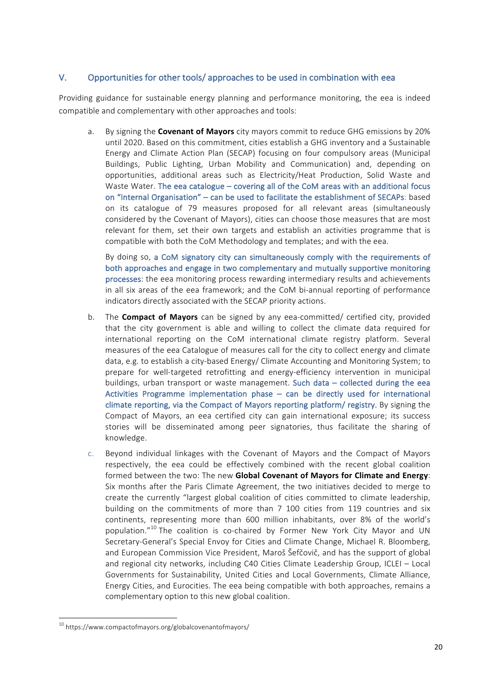# V. Opportunities for other tools/ approaches to be used in combination with eea

Providing guidance for sustainable energy planning and performance monitoring, the eea is indeed compatible and complementary with other approaches and tools:

a. By signing the **Covenant of Mayors** city mayors commit to reduce GHG emissions by 20% until 2020. Based on this commitment, cities establish a GHG inventory and a Sustainable Energy and Climate Action Plan (SECAP) focusing on four compulsory areas (Municipal Buildings, Public Lighting, Urban Mobility and Communication) and, depending on opportunities, additional areas such as Electricity/Heat Production, Solid Waste and Waste Water. The eea catalogue  $-$  covering all of the CoM areas with an additional focus on "Internal Organisation" – can be used to facilitate the establishment of SECAPs: based on its catalogue of 79 measures proposed for all relevant areas (simultaneously considered by the Covenant of Mayors), cities can choose those measures that are most relevant for them, set their own targets and establish an activities programme that is compatible with both the CoM Methodology and templates; and with the eea.

By doing so, a CoM signatory city can simultaneously comply with the requirements of both approaches and engage in two complementary and mutually supportive monitoring processes: the eea monitoring process rewarding intermediary results and achievements in all six areas of the eea framework; and the CoM bi-annual reporting of performance indicators directly associated with the SECAP priority actions.

- b. The **Compact of Mayors** can be signed by any eea-committed/ certified city, provided that the city government is able and willing to collect the climate data required for international reporting on the CoM international climate registry platform. Several measures of the eea Catalogue of measures call for the city to collect energy and climate data, e.g. to establish a city-based Energy/ Climate Accounting and Monitoring System; to prepare for well-targeted retrofitting and energy-efficiency intervention in municipal buildings, urban transport or waste management. Such data – collected during the eea Activities Programme implementation phase  $-$  can be directly used for international climate reporting, via the Compact of Mayors reporting platform/ registry. By signing the Compact of Mayors, an eea certified city can gain international exposure; its success stories will be disseminated among peer signatories, thus facilitate the sharing of knowledge.
- c. Beyond individual linkages with the Covenant of Mayors and the Compact of Mayors respectively, the eea could be effectively combined with the recent global coalition formed between the two: The new Global Covenant of Mayors for Climate and Energy: Six months after the Paris Climate Agreement, the two initiatives decided to merge to create the currently "largest global coalition of cities committed to climate leadership, building on the commitments of more than 7 100 cities from 119 countries and six continents, representing more than 600 million inhabitants, over 8% of the world's population."<sup>10</sup> The coalition is co-chaired by Former New York City Mayor and UN Secretary-General's Special Envoy for Cities and Climate Change, Michael R. Bloomberg, and European Commission Vice President, Maroš Šefčovič, and has the support of global and regional city networks, including C40 Cities Climate Leadership Group, ICLEI - Local Governments for Sustainability, United Cities and Local Governments, Climate Alliance, Energy Cities, and Eurocities. The eea being compatible with both approaches, remains a complementary option to this new global coalition.

 <sup>10</sup> https://www.compactofmayors.org/globalcovenantofmayors/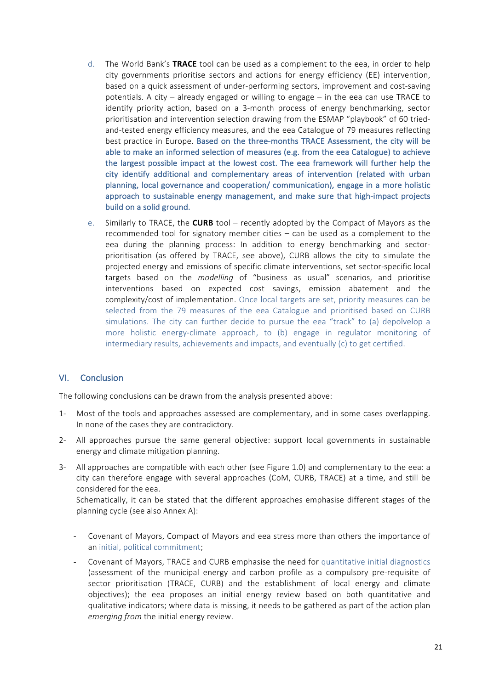- d. The World Bank's **TRACE** tool can be used as a complement to the eea, in order to help city governments prioritise sectors and actions for energy efficiency (EE) intervention, based on a quick assessment of under-performing sectors, improvement and cost-saving potentials. A city  $-$  already engaged or willing to engage  $-$  in the eea can use TRACE to identify priority action, based on a 3-month process of energy benchmarking, sector prioritisation and intervention selection drawing from the ESMAP "playbook" of 60 triedand-tested energy efficiency measures, and the eea Catalogue of 79 measures reflecting best practice in Europe. Based on the three-months TRACE Assessment, the city will be able to make an informed selection of measures (e.g. from the eea Catalogue) to achieve the largest possible impact at the lowest cost. The eea framework will further help the city identify additional and complementary areas of intervention (related with urban planning, local governance and cooperation/ communication), engage in a more holistic approach to sustainable energy management, and make sure that high-impact projects build on a solid ground.
- e. Similarly to TRACE, the **CURB** tool recently adopted by the Compact of Mayors as the recommended tool for signatory member cities  $-$  can be used as a complement to the eea during the planning process: In addition to energy benchmarking and sectorprioritisation (as offered by TRACE, see above), CURB allows the city to simulate the projected energy and emissions of specific climate interventions, set sector-specific local targets based on the *modelling* of "business as usual" scenarios, and prioritise interventions based on expected cost savings, emission abatement and the complexity/cost of implementation. Once local targets are set, priority measures can be selected from the 79 measures of the eea Catalogue and prioritised based on CURB simulations. The city can further decide to pursue the eea "track" to (a) depolvelop a more holistic energy-climate approach, to (b) engage in regulator monitoring of intermediary results, achievements and impacts, and eventually (c) to get certified.

# VI. Conclusion

The following conclusions can be drawn from the analysis presented above:

- 1- Most of the tools and approaches assessed are complementary, and in some cases overlapping. In none of the cases they are contradictory.
- 2- All approaches pursue the same general objective: support local governments in sustainable energy and climate mitigation planning.
- 3- All approaches are compatible with each other (see Figure 1.0) and complementary to the eea: a city can therefore engage with several approaches (CoM, CURB, TRACE) at a time, and still be considered for the eea.

Schematically, it can be stated that the different approaches emphasise different stages of the planning cycle (see also Annex A):

- Covenant of Mayors, Compact of Mayors and eea stress more than others the importance of an initial, political commitment;
- Covenant of Mayors, TRACE and CURB emphasise the need for quantitative initial diagnostics (assessment of the municipal energy and carbon profile as a compulsory pre-requisite of sector prioritisation (TRACE, CURB) and the establishment of local energy and climate objectives); the eea proposes an initial energy review based on both quantitative and qualitative indicators; where data is missing, it needs to be gathered as part of the action plan *emerging from* the initial energy review.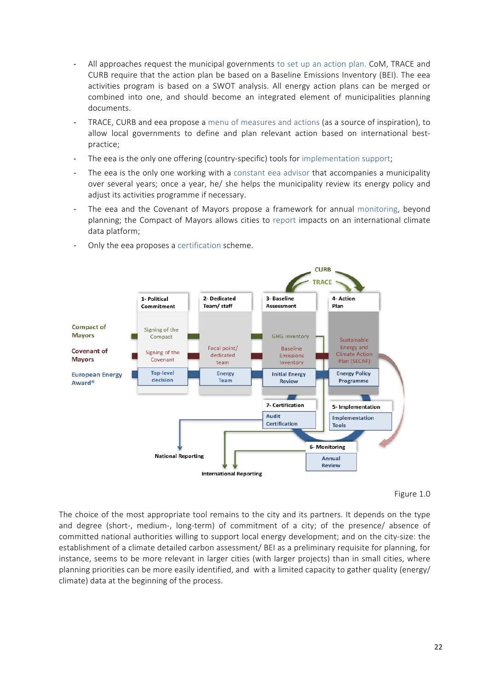- All approaches request the municipal governments to set up an action plan. CoM, TRACE and CURB require that the action plan be based on a Baseline Emissions Inventory (BEI). The eea activities program is based on a SWOT analysis. All energy action plans can be merged or combined into one, and should become an integrated element of municipalities planning documents.
- TRACE, CURB and eea propose a menu of measures and actions (as a source of inspiration), to allow local governments to define and plan relevant action based on international bestpractice;
- The eea is the only one offering (country-specific) tools for implementation support;
- The eea is the only one working with a constant eea advisor that accompanies a municipality over several years; once a year, he/ she helps the municipality review its energy policy and adjust its activities programme if necessary.
- The eea and the Covenant of Mayors propose a framework for annual monitoring, beyond planning; the Compact of Mayors allows cities to report impacts on an international climate data platform;



- Only the eea proposes a certification scheme.



The choice of the most appropriate tool remains to the city and its partners. It depends on the type and degree (short-, medium-, long-term) of commitment of a city; of the presence/ absence of committed national authorities willing to support local energy development; and on the city-size: the establishment of a climate detailed carbon assessment/ BEI as a preliminary requisite for planning, for instance, seems to be more relevant in larger cities (with larger projects) than in small cities, where planning priorities can be more easily identified, and with a limited capacity to gather quality (energy/ climate) data at the beginning of the process.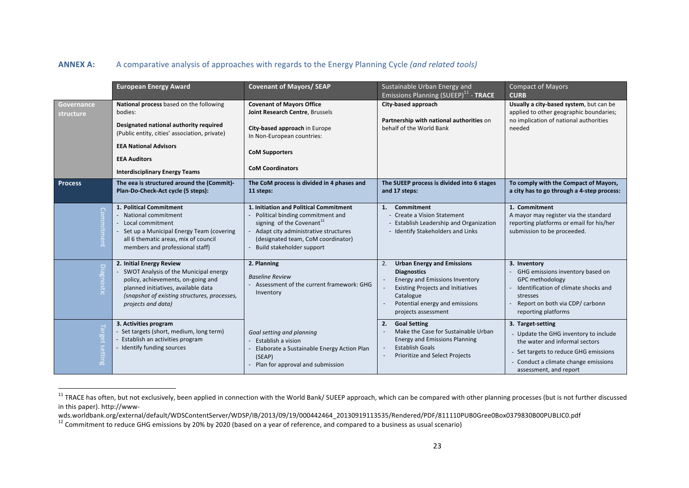# **ANNEX A:** A comparative analysis of approaches with regards to the Energy Planning Cycle (and related tools)

|                                | <b>European Energy Award</b>                                                                                                                                                                                         | <b>Covenant of Mayors/ SEAP</b>                                                                                                                                                                                                | Sustainable Urban Energy and<br>Emissions Planning (SUEEP) <sup>11</sup> - TRACE                                                                                                                                         | <b>Compact of Mayors</b><br><b>CURB</b>                                                                                                                                                                 |
|--------------------------------|----------------------------------------------------------------------------------------------------------------------------------------------------------------------------------------------------------------------|--------------------------------------------------------------------------------------------------------------------------------------------------------------------------------------------------------------------------------|--------------------------------------------------------------------------------------------------------------------------------------------------------------------------------------------------------------------------|---------------------------------------------------------------------------------------------------------------------------------------------------------------------------------------------------------|
| <b>Governance</b><br>structure | National process based on the following<br>bodies:<br>Designated national authority required<br>(Public entity, cities' association, private)<br><b>EEA National Advisors</b><br><b>EEA Auditors</b>                 | <b>Covenant of Mayors Office</b><br>Joint Research Centre, Brussels<br>City-based approach in Europe<br>In Non-European countries:<br><b>CoM Supporters</b>                                                                    | City-based approach<br>Partnership with national authorities on<br>behalf of the World Bank                                                                                                                              | Usually a city-based system, but can be<br>applied to other geographic boundaries;<br>no implication of national authorities<br>needed                                                                  |
| <b>Process</b>                 | <b>Interdisciplinary Energy Teams</b><br>The eea is structured around the (Commit)-                                                                                                                                  | <b>CoM Coordinators</b><br>The CoM process is divided in 4 phases and                                                                                                                                                          | The SUEEP process is divided into 6 stages                                                                                                                                                                               | To comply with the Compact of Mayors,                                                                                                                                                                   |
|                                | Plan-Do-Check-Act cycle (5 steps):                                                                                                                                                                                   | 11 steps:                                                                                                                                                                                                                      | and 17 steps:                                                                                                                                                                                                            | a city has to go through a 4-step process:                                                                                                                                                              |
| Com<br>itment                  | 1. Political Commitment<br>National commitment<br>Local commitment<br>- Set up a Municipal Energy Team (covering<br>all 6 thematic areas, mix of council<br>members and professional staff)                          | 1. Initiation and Political Commitment<br>Political binding commitment and<br>signing of the Covenant <sup>12</sup><br>Adapt city administrative structures<br>(designated team, CoM coordinator)<br>Build stakeholder support | Commitment<br>1.<br>- Create a Vision Statement<br>- Establish Leadership and Organization<br>- Identify Stakeholders and Links                                                                                          | 1. Commitment<br>A mayor may register via the standard<br>reporting platforms or email for his/her<br>submission to be proceeded.                                                                       |
| <u>Diagnost</u>                | 2. Initial Energy Review<br>SWOT Analysis of the Municipal energy<br>policy, achievements, on-going and<br>planned initiatives, available data<br>(snapshot of existing structures, processes,<br>projects and data) | 2. Planning<br><b>Baseline Review</b><br>Assessment of the current framework: GHG<br>Inventory                                                                                                                                 | <b>Urban Energy and Emissions</b><br>2.<br><b>Diagnostics</b><br><b>Energy and Emissions Inventory</b><br><b>Existing Projects and Initiatives</b><br>Catalogue<br>Potential energy and emissions<br>projects assessment | 3. Inventory<br>GHG emissions inventory based on<br><b>GPC methodology</b><br>Identification of climate shocks and<br>stresses<br>Report on both via CDP/ carbonn<br>reporting platforms                |
| Target setting                 | 3. Activities program<br>Set targets (short, medium, long term)<br>Establish an activities program<br>Identify funding sources                                                                                       | Goal setting and planning<br>Establish a vision<br>Elaborate a Sustainable Energy Action Plan<br>(SEAP)<br>Plan for approval and submission                                                                                    | <b>Goal Setting</b><br>2.<br>Make the Case for Sustainable Urban<br><b>Energy and Emissions Planning</b><br><b>Establish Goals</b><br>Prioritize and Select Projects                                                     | 3. Target-setting<br>- Update the GHG inventory to include<br>the water and informal sectors<br>- Set targets to reduce GHG emissions<br>- Conduct a climate change emissions<br>assessment, and report |

 $11$  TRACE has often, but not exclusively, been applied in connection with the World Bank/ SUEEP approach, which can be compared with other planning processes (but is not further discussed in this paper). http://www-<br>wds.worldbank.org/external/default/WDSContentServer/WDSP/IB/2013/09/19/000442464\_20130919113535/Rendered/PDF/811110PUB0Gree0Box0379830B00PUBLIC0.pdf

<sup>&</sup>lt;sup>12</sup> Commitment to reduce GHG emissions by 20% by 2020 (based on a year of reference, and compared to a business as usual scenario)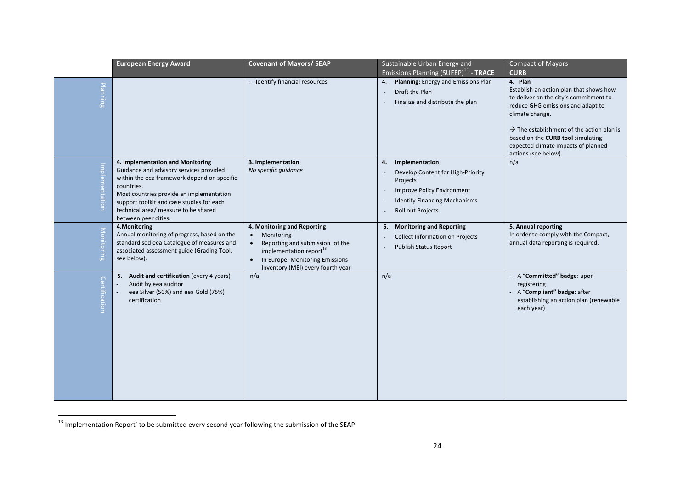|                | <b>European Energy Award</b>                                                                                                                                                                                                                                                                      | <b>Covenant of Mayors/ SEAP</b>                                                                                                                                                                                                    | Sustainable Urban Energy and                                                                                                                                                   | <b>Compact of Mayors</b>                                                                                                                                                                                                                                                                                                         |
|----------------|---------------------------------------------------------------------------------------------------------------------------------------------------------------------------------------------------------------------------------------------------------------------------------------------------|------------------------------------------------------------------------------------------------------------------------------------------------------------------------------------------------------------------------------------|--------------------------------------------------------------------------------------------------------------------------------------------------------------------------------|----------------------------------------------------------------------------------------------------------------------------------------------------------------------------------------------------------------------------------------------------------------------------------------------------------------------------------|
| Planning       |                                                                                                                                                                                                                                                                                                   | - Identify financial resources                                                                                                                                                                                                     | Emissions Planning (SUEEP) <sup>11</sup> - TRACE<br>Planning: Energy and Emissions Plan<br>4.<br>Draft the Plan<br>Finalize and distribute the plan                            | <b>CURB</b><br>4. Plan<br>Establish an action plan that shows how<br>to deliver on the city's commitment to<br>reduce GHG emissions and adapt to<br>climate change.<br>$\rightarrow$ The establishment of the action plan is<br>based on the CURB tool simulating<br>expected climate impacts of planned<br>actions (see below). |
| Implementation | 4. Implementation and Monitoring<br>Guidance and advisory services provided<br>within the eea framework depend on specific<br>countries.<br>Most countries provide an implementation<br>support toolkit and case studies for each<br>technical area/ measure to be shared<br>between peer cities. | 3. Implementation<br>No specific guidance                                                                                                                                                                                          | Implementation<br>4.<br>Develop Content for High-Priority<br>Projects<br><b>Improve Policy Environment</b><br><b>Identify Financing Mechanisms</b><br><b>Roll out Projects</b> | n/a                                                                                                                                                                                                                                                                                                                              |
| Monitoring     | 4.Monitoring<br>Annual monitoring of progress, based on the<br>standardised eea Catalogue of measures and<br>associated assessment guide (Grading Tool,<br>see below).                                                                                                                            | 4. Monitoring and Reporting<br>Monitoring<br>$\bullet$<br>Reporting and submission of the<br>$\bullet$<br>implementation report <sup>13</sup><br>In Europe: Monitoring Emissions<br>$\bullet$<br>Inventory (MEI) every fourth year | <b>Monitoring and Reporting</b><br>5.<br><b>Collect Information on Projects</b><br><b>Publish Status Report</b>                                                                | 5. Annual reporting<br>In order to comply with the Compact,<br>annual data reporting is required.                                                                                                                                                                                                                                |
| Certification  | Audit and certification (every 4 years)<br>5.<br>Audit by eea auditor<br>eea Silver (50%) and eea Gold (75%)<br>certification                                                                                                                                                                     | n/a                                                                                                                                                                                                                                | n/a                                                                                                                                                                            | A "Committed" badge: upon<br>registering<br>A "Compliant" badge: after<br>establishing an action plan (renewable<br>each year)                                                                                                                                                                                                   |

<sup>13</sup> Implementation Report' to be submitted every second year following the submission of the SEAP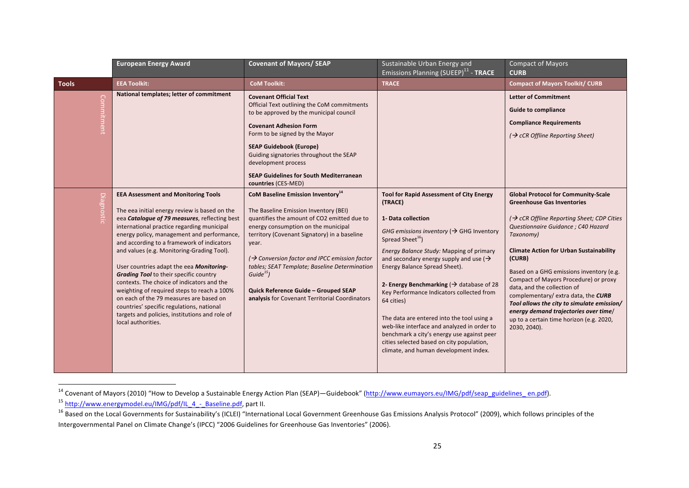|                   | <b>European Energy Award</b>                                                                                                                                                                                                                                                                                                                                                                                                                                                                                                                                                                                                                                                                   | <b>Covenant of Mayors/ SEAP</b>                                                                                                                                                                                                                                                                                                                                                                                                                                        | Sustainable Urban Energy and<br>Emissions Planning (SUEEP) <sup>11</sup> - TRACE                                                                                                                                                                                                                                                                                                                                                                                                                                                                                                                                                                                 | <b>Compact of Mayors</b><br><b>CURB</b>                                                                                                                                                                                                                                                                                                                                                                                                                                                                                                                                |
|-------------------|------------------------------------------------------------------------------------------------------------------------------------------------------------------------------------------------------------------------------------------------------------------------------------------------------------------------------------------------------------------------------------------------------------------------------------------------------------------------------------------------------------------------------------------------------------------------------------------------------------------------------------------------------------------------------------------------|------------------------------------------------------------------------------------------------------------------------------------------------------------------------------------------------------------------------------------------------------------------------------------------------------------------------------------------------------------------------------------------------------------------------------------------------------------------------|------------------------------------------------------------------------------------------------------------------------------------------------------------------------------------------------------------------------------------------------------------------------------------------------------------------------------------------------------------------------------------------------------------------------------------------------------------------------------------------------------------------------------------------------------------------------------------------------------------------------------------------------------------------|------------------------------------------------------------------------------------------------------------------------------------------------------------------------------------------------------------------------------------------------------------------------------------------------------------------------------------------------------------------------------------------------------------------------------------------------------------------------------------------------------------------------------------------------------------------------|
| <b>Tools</b>      | <b>EEA Toolkit:</b>                                                                                                                                                                                                                                                                                                                                                                                                                                                                                                                                                                                                                                                                            | <b>CoM Toolkit:</b>                                                                                                                                                                                                                                                                                                                                                                                                                                                    | <b>TRACE</b>                                                                                                                                                                                                                                                                                                                                                                                                                                                                                                                                                                                                                                                     | <b>Compact of Mayors Toolkit/ CURB</b>                                                                                                                                                                                                                                                                                                                                                                                                                                                                                                                                 |
| Commitment        | National templates; letter of commitment                                                                                                                                                                                                                                                                                                                                                                                                                                                                                                                                                                                                                                                       | <b>Covenant Official Text</b><br>Official Text outlining the CoM commitments<br>to be approved by the municipal council<br><b>Covenant Adhesion Form</b><br>Form to be signed by the Mayor<br><b>SEAP Guidebook (Europe)</b><br>Guiding signatories throughout the SEAP<br>development process<br><b>SEAP Guidelines for South Mediterranean</b><br>countries (CES-MED)                                                                                                |                                                                                                                                                                                                                                                                                                                                                                                                                                                                                                                                                                                                                                                                  | <b>Letter of Commitment</b><br><b>Guide to compliance</b><br><b>Compliance Requirements</b><br>$\rightarrow$ cCR Offline Reporting Sheet)                                                                                                                                                                                                                                                                                                                                                                                                                              |
| <b>Diagnostic</b> | <b>EEA Assessment and Monitoring Tools</b><br>The eea initial energy review is based on the<br>eea Cataloque of 79 measures, reflecting best<br>international practice regarding municipal<br>energy policy, management and performance,<br>and according to a framework of indicators<br>and values (e.g. Monitoring-Grading Tool).<br>User countries adapt the eea Monitoring-<br><b>Grading Tool</b> to their specific country<br>contexts. The choice of indicators and the<br>weighting of required steps to reach a 100%<br>on each of the 79 measures are based on<br>countries' specific regulations, national<br>targets and policies, institutions and role of<br>local authorities. | <b>CoM Baseline Emission Inventory</b> <sup>14</sup><br>The Baseline Emission Inventory (BEI)<br>quantifies the amount of CO2 emitted due to<br>energy consumption on the municipal<br>territory (Covenant Signatory) in a baseline<br>year.<br>$\rightarrow$ Conversion factor and IPCC emission factor<br>tables; SEAT Template; Baseline Determination<br>Guide $^{15}$ )<br>Quick Reference Guide - Grouped SEAP<br>analysis for Covenant Territorial Coordinators | <b>Tool for Rapid Assessment of City Energy</b><br>(TRACE)<br>1- Data collection<br>GHG emissions inventory ( $\rightarrow$ GHG Inventory<br>Spread Sheet <sup>16</sup> )<br>Energy Balance Study: Mapping of primary<br>and secondary energy supply and use $\rightarrow$<br>Energy Balance Spread Sheet).<br>2- Energy Benchmarking ( $\rightarrow$ database of 28<br>Key Performance Indicators collected from<br>64 cities)<br>The data are entered into the tool using a<br>web-like interface and analyzed in order to<br>benchmark a city's energy use against peer<br>cities selected based on city population,<br>climate, and human development index. | <b>Global Protocol for Community-Scale</b><br><b>Greenhouse Gas Inventories</b><br>$\rightarrow$ cCR Offline Reporting Sheet; CDP Cities<br>Questionnaire Guidance ; C40 Hazard<br>Taxonomy)<br><b>Climate Action for Urban Sustainability</b><br>(CURB)<br>Based on a GHG emissions inventory (e.g.<br>Compact of Mayors Procedure) or proxy<br>data, and the collection of<br>complementary/ extra data, the CURB<br>Tool allows the city to simulate emission/<br>energy demand trajectories over time/<br>up to a certain time horizon (e.g. 2020,<br>2030, 2040). |

<sup>&</sup>lt;sup>14</sup> Covenant of Mayors (2010) "How to Develop a Sustainable Energy Action Plan (SEAP)—Guidebook" (http://www.eumayors.eu/IMG/pdf/seap\_guidelines\_en.pdf).

<sup>15</sup> http://www.energymodel.eu/IMG/pdf/IL\_4\_-\_Baseline.pdf, part II.

<sup>16</sup> Based on the Local Governments for Sustainability's (ICLEI) "International Local Government Greenhouse Gas Emissions Analysis Protocol" (2009), which follows principles of the Intergovernmental Panel on Climate Change's (IPCC) "2006 Guidelines for Greenhouse Gas Inventories" (2006).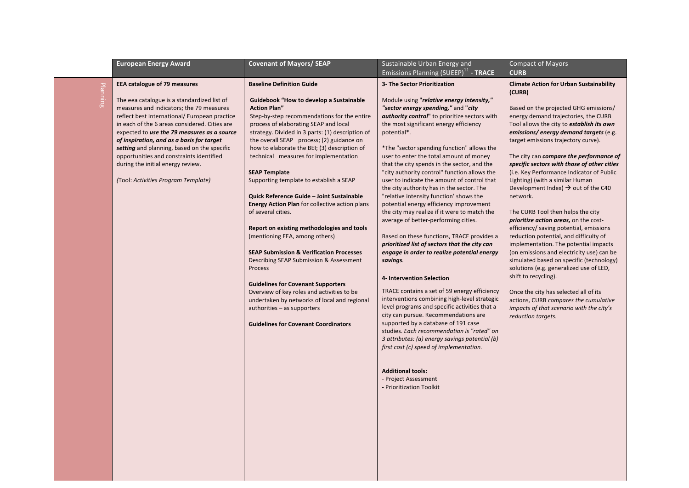|          | <b>European Energy Award</b>                                                                                                                                                                                                                                                                                                                                                                                                                                                                        | <b>Covenant of Mayors/ SEAP</b>                                                                                                                                                                                                                                                                                                                                                                                                                                                                                                                                                                                                                                                                                                                                                                                                                                                                                                                                                                                  | Sustainable Urban Energy and<br>Emissions Planning (SUEEP) <sup>11</sup> - TRACE                                                                                                                                                                                                                                                                                                                                                                                                                                                                                                                                                                                                                                                                                                                                                                                                                                                                                                                                                                                                                                                                                  | <b>Compact of Mayors</b><br><b>CURB</b>                                                                                                                                                                                                                                                                                                                                                                                                                                                                                                                                                                                                                                                                                                                                                                                                                                                                                                                                                                                                             |
|----------|-----------------------------------------------------------------------------------------------------------------------------------------------------------------------------------------------------------------------------------------------------------------------------------------------------------------------------------------------------------------------------------------------------------------------------------------------------------------------------------------------------|------------------------------------------------------------------------------------------------------------------------------------------------------------------------------------------------------------------------------------------------------------------------------------------------------------------------------------------------------------------------------------------------------------------------------------------------------------------------------------------------------------------------------------------------------------------------------------------------------------------------------------------------------------------------------------------------------------------------------------------------------------------------------------------------------------------------------------------------------------------------------------------------------------------------------------------------------------------------------------------------------------------|-------------------------------------------------------------------------------------------------------------------------------------------------------------------------------------------------------------------------------------------------------------------------------------------------------------------------------------------------------------------------------------------------------------------------------------------------------------------------------------------------------------------------------------------------------------------------------------------------------------------------------------------------------------------------------------------------------------------------------------------------------------------------------------------------------------------------------------------------------------------------------------------------------------------------------------------------------------------------------------------------------------------------------------------------------------------------------------------------------------------------------------------------------------------|-----------------------------------------------------------------------------------------------------------------------------------------------------------------------------------------------------------------------------------------------------------------------------------------------------------------------------------------------------------------------------------------------------------------------------------------------------------------------------------------------------------------------------------------------------------------------------------------------------------------------------------------------------------------------------------------------------------------------------------------------------------------------------------------------------------------------------------------------------------------------------------------------------------------------------------------------------------------------------------------------------------------------------------------------------|
| Planning | <b>EEA catalogue of 79 measures</b><br>The eea catalogue is a standardized list of<br>measures and indicators; the 79 measures<br>reflect best International/ European practice<br>in each of the 6 areas considered. Cities are<br>expected to use the 79 measures as a source<br>of inspiration, and as a basis for target<br>setting and planning, based on the specific<br>opportunities and constraints identified<br>during the initial energy review.<br>(Tool: Activities Program Template) | <b>Baseline Definition Guide</b><br><b>Guidebook "How to develop a Sustainable</b><br><b>Action Plan"</b><br>Step-by-step recommendations for the entire<br>process of elaborating SEAP and local<br>strategy. Divided in 3 parts: (1) description of<br>the overall SEAP process; (2) guidance on<br>how to elaborate the BEI; (3) description of<br>technical measures for implementation<br><b>SEAP Template</b><br>Supporting template to establish a SEAP<br>Quick Reference Guide - Joint Sustainable<br><b>Energy Action Plan</b> for collective action plans<br>of several cities.<br>Report on existing methodologies and tools<br>(mentioning EEA, among others)<br><b>SEAP Submission &amp; Verification Processes</b><br>Describing SEAP Submission & Assessment<br>Process<br><b>Guidelines for Covenant Supporters</b><br>Overview of key roles and activities to be<br>undertaken by networks of local and regional<br>authorities - as supporters<br><b>Guidelines for Covenant Coordinators</b> | 3- The Sector Prioritization<br>Module using "relative energy intensity,"<br>"sector energy spending," and "city<br>authority control" to prioritize sectors with<br>the most significant energy efficiency<br>potential*.<br>*The "sector spending function" allows the<br>user to enter the total amount of money<br>that the city spends in the sector, and the<br>"city authority control" function allows the<br>user to indicate the amount of control that<br>the city authority has in the sector. The<br>"relative intensity function' shows the<br>potential energy efficiency improvement<br>the city may realize if it were to match the<br>average of better-performing cities.<br>Based on these functions, TRACE provides a<br>prioritized list of sectors that the city can<br>engage in order to realize potential energy<br>savings.<br>4- Intervention Selection<br>TRACE contains a set of 59 energy efficiency<br>interventions combining high-level strategic<br>level programs and specific activities that a<br>city can pursue. Recommendations are<br>supported by a database of 191 case<br>studies. Each recommendation is "rated" on | <b>Climate Action for Urban Sustainability</b><br>(CURB)<br>Based on the projected GHG emissions/<br>energy demand trajectories, the CURB<br>Tool allows the city to <i>establish its own</i><br>emissions/ energy demand targets (e.g.<br>target emissions trajectory curve).<br>The city can compare the performance of<br>specific sectors with those of other cities<br>(i.e. Key Performance Indicator of Public<br>Lighting) (with a similar Human<br>Development Index) $\rightarrow$ out of the C40<br>network.<br>The CURB Tool then helps the city<br>prioritize action areas, on the cost-<br>efficiency/ saving potential, emissions<br>reduction potential, and difficulty of<br>implementation. The potential impacts<br>(on emissions and electricity use) can be<br>simulated based on specific (technology)<br>solutions (e.g. generalized use of LED,<br>shift to recycling).<br>Once the city has selected all of its<br>actions, CURB compares the cumulative<br>impacts of that scenario with the city's<br>reduction targets. |
|          |                                                                                                                                                                                                                                                                                                                                                                                                                                                                                                     |                                                                                                                                                                                                                                                                                                                                                                                                                                                                                                                                                                                                                                                                                                                                                                                                                                                                                                                                                                                                                  | 3 attributes: (a) energy savings potential (b)<br>first cost (c) speed of implementation.<br><b>Additional tools:</b><br>- Project Assessment<br>- Prioritization Toolkit                                                                                                                                                                                                                                                                                                                                                                                                                                                                                                                                                                                                                                                                                                                                                                                                                                                                                                                                                                                         |                                                                                                                                                                                                                                                                                                                                                                                                                                                                                                                                                                                                                                                                                                                                                                                                                                                                                                                                                                                                                                                     |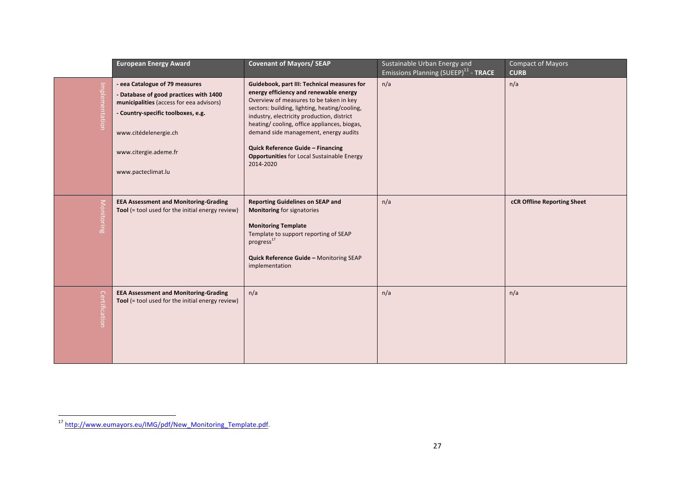|                   | <b>European Energy Award</b>                                                                                                                                                                                                       | <b>Covenant of Mayors/ SEAP</b>                                                                                                                                                                                                                                                                                                                                                                                                | Sustainable Urban Energy and<br>Emissions Planning (SUEEP) <sup>11</sup> - TRACE | <b>Compact of Mayors</b><br><b>CURB</b> |
|-------------------|------------------------------------------------------------------------------------------------------------------------------------------------------------------------------------------------------------------------------------|--------------------------------------------------------------------------------------------------------------------------------------------------------------------------------------------------------------------------------------------------------------------------------------------------------------------------------------------------------------------------------------------------------------------------------|----------------------------------------------------------------------------------|-----------------------------------------|
| Implementation    | - eea Catalogue of 79 measures<br>- Database of good practices with 1400<br>municipalities (access for eea advisors)<br>- Country-specific toolboxes, e.g.<br>www.citédelenergie.ch<br>www.citergie.ademe.fr<br>www.pacteclimat.lu | Guidebook, part III: Technical measures for<br>energy efficiency and renewable energy<br>Overview of measures to be taken in key<br>sectors: building, lighting, heating/cooling,<br>industry, electricity production, district<br>heating/cooling, office appliances, biogas,<br>demand side management, energy audits<br>Quick Reference Guide - Financing<br><b>Opportunities for Local Sustainable Energy</b><br>2014-2020 | n/a                                                                              | n/a                                     |
| <b>Monitoring</b> | <b>EEA Assessment and Monitoring-Grading</b><br>Tool (= tool used for the initial energy review)                                                                                                                                   | <b>Reporting Guidelines on SEAP and</b><br><b>Monitoring for signatories</b><br><b>Monitoring Template</b><br>Template to support reporting of SEAP<br>progress <sup>17</sup><br>Quick Reference Guide - Monitoring SEAP<br>implementation                                                                                                                                                                                     | n/a                                                                              | cCR Offline Reporting Sheet             |
| Certification     | <b>EEA Assessment and Monitoring-Grading</b><br>Tool (= tool used for the initial energy review)                                                                                                                                   | n/a                                                                                                                                                                                                                                                                                                                                                                                                                            | n/a                                                                              | n/a                                     |

<sup>17</sup> http://www.eumayors.eu/IMG/pdf/New\_Monitoring\_Template.pdf.